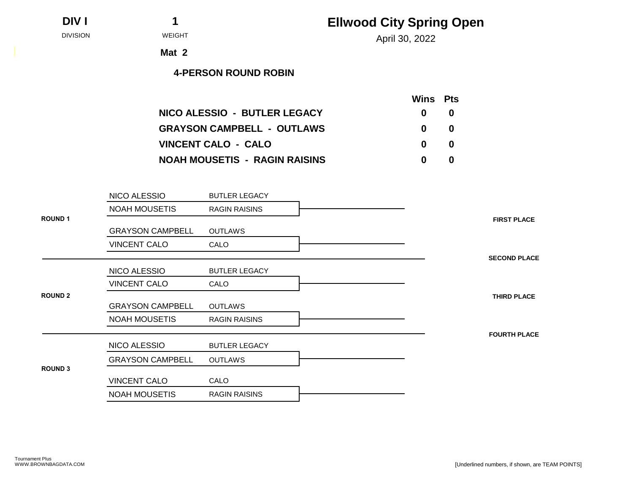**DIV I 1**

## **Ellwood City Spring Open**

April 30, 2022 DIVISION WEIGHT

**Mat 2**

|                                      | <b>Wins</b> Pts |   |
|--------------------------------------|-----------------|---|
| NICO ALESSIO - BUTLER LEGACY         | $\mathbf{0}$    | 0 |
| <b>GRAYSON CAMPBELL - OUTLAWS</b>    | $\mathbf{0}$    | 0 |
| <b>VINCENT CALO - CALO</b>           | $\mathbf{0}$    | O |
| <b>NOAH MOUSETIS - RAGIN RAISINS</b> | 0               | 0 |

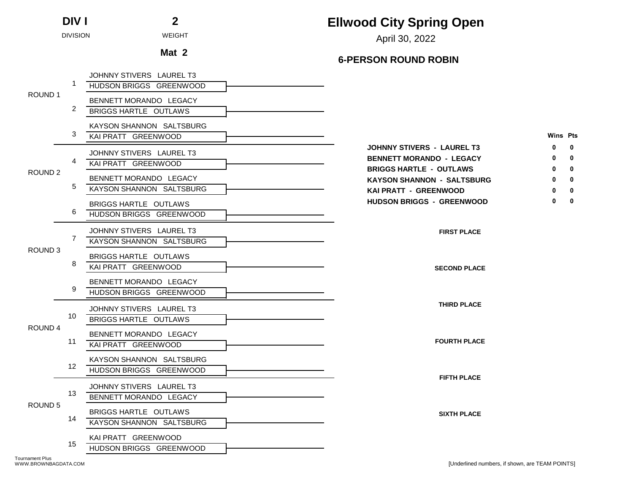|                    | <b>DIV I</b>    | $\mathbf{2}$                                         | <b>Ellwood City Spring Open</b>                                                                                            |
|--------------------|-----------------|------------------------------------------------------|----------------------------------------------------------------------------------------------------------------------------|
|                    | <b>DIVISION</b> | <b>WEIGHT</b>                                        | April 30, 2022                                                                                                             |
|                    |                 | Mat 2                                                | <b>6-PERSON ROUND ROBIN</b>                                                                                                |
|                    |                 | JOHNNY STIVERS LAUREL T3<br>HUDSON BRIGGS GREENWOOD  |                                                                                                                            |
| ROUND 1            | 2               | BENNETT MORANDO LEGACY<br>BRIGGS HARTLE OUTLAWS      |                                                                                                                            |
|                    | 3               | KAYSON SHANNON SALTSBURG<br>KAI PRATT GREENWOOD      | <b>Wins Pts</b>                                                                                                            |
| ROUND <sub>2</sub> | 4               | JOHNNY STIVERS LAUREL T3<br>KAI PRATT GREENWOOD      | <b>JOHNNY STIVERS - LAUREL T3</b><br>0<br><b>BENNETT MORANDO - LEGACY</b><br>0<br>0<br><b>BRIGGS HARTLE - OUTLAWS</b><br>0 |
|                    | 5               | BENNETT MORANDO LEGACY<br>KAYSON SHANNON SALTSBURG   | <b>KAYSON SHANNON - SALTSBURG</b><br>0<br>KAI PRATT - GREENWOOD<br>0                                                       |
|                    | 6               | BRIGGS HARTLE OUTLAWS<br>HUDSON BRIGGS GREENWOOD     | <b>HUDSON BRIGGS - GREENWOOD</b><br>0<br>0                                                                                 |
| ROUND <sub>3</sub> | 7               | JOHNNY STIVERS LAUREL T3<br>KAYSON SHANNON SALTSBURG | <b>FIRST PLACE</b>                                                                                                         |
|                    | 8               | BRIGGS HARTLE OUTLAWS<br>KAI PRATT GREENWOOD         | <b>SECOND PLACE</b>                                                                                                        |
|                    | 9               | BENNETT MORANDO LEGACY<br>HUDSON BRIGGS GREENWOOD    |                                                                                                                            |
| ROUND 4            | 10              | JOHNNY STIVERS LAUREL T3<br>BRIGGS HARTLE OUTLAWS    | <b>THIRD PLACE</b>                                                                                                         |
|                    | 11              | BENNETT MORANDO LEGACY<br>KAI PRATT GREENWOOD        | <b>FOURTH PLACE</b>                                                                                                        |
|                    | 12              | KAYSON SHANNON SALTSBURG<br>HUDSON BRIGGS GREENWOOD  | <b>FIFTH PLACE</b>                                                                                                         |
| ROUND 5            | 13              | JOHNNY STIVERS LAUREL T3<br>BENNETT MORANDO LEGACY   |                                                                                                                            |
|                    | 14              | BRIGGS HARTLE OUTLAWS<br>KAYSON SHANNON SALTSBURG    | <b>SIXTH PLACE</b>                                                                                                         |
|                    | 15              | KAI PRATT GREENWOOD<br>HUDSON BRIGGS GREENWOOD       |                                                                                                                            |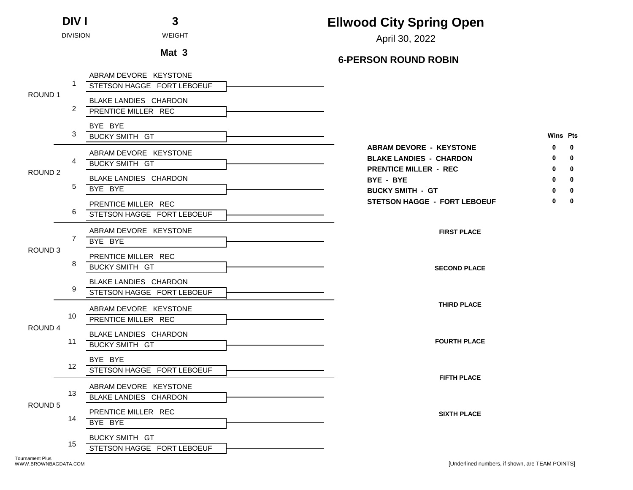|                    | <b>DIV I</b>    | 3                                                   | <b>Ellwood City Spring Open</b>                                                                                           |  |
|--------------------|-----------------|-----------------------------------------------------|---------------------------------------------------------------------------------------------------------------------------|--|
|                    | <b>DIVISION</b> | <b>WEIGHT</b>                                       | April 30, 2022                                                                                                            |  |
|                    |                 | Mat 3                                               | <b>6-PERSON ROUND ROBIN</b>                                                                                               |  |
|                    |                 | ABRAM DEVORE KEYSTONE<br>STETSON HAGGE FORT LEBOEUF |                                                                                                                           |  |
| ROUND 1            | 2               | BLAKE LANDIES CHARDON<br>PRENTICE MILLER REC        |                                                                                                                           |  |
|                    | 3               | BYE BYE<br><b>BUCKY SMITH GT</b>                    | <b>Wins Pts</b>                                                                                                           |  |
| ROUND <sub>2</sub> | 4               | ABRAM DEVORE KEYSTONE<br><b>BUCKY SMITH GT</b>      | <b>ABRAM DEVORE - KEYSTONE</b><br>0<br>n<br><b>BLAKE LANDIES - CHARDON</b><br>0<br>0<br><b>PRENTICE MILLER - REC</b><br>0 |  |
|                    | 5               | BLAKE LANDIES CHARDON<br>BYE BYE                    | BYE - BYE<br>0<br><b>BUCKY SMITH - GT</b><br>0                                                                            |  |
|                    | 6               | PRENTICE MILLER REC<br>STETSON HAGGE FORT LEBOEUF   | <b>STETSON HAGGE - FORT LEBOEUF</b><br>0<br>0                                                                             |  |
| ROUND <sub>3</sub> | $\overline{7}$  | ABRAM DEVORE KEYSTONE<br>BYE BYE                    | <b>FIRST PLACE</b>                                                                                                        |  |
|                    | 8               | PRENTICE MILLER REC<br><b>BUCKY SMITH GT</b>        | <b>SECOND PLACE</b>                                                                                                       |  |
|                    | 9               | BLAKE LANDIES CHARDON<br>STETSON HAGGE FORT LEBOEUF |                                                                                                                           |  |
| ROUND 4            | 10              | ABRAM DEVORE KEYSTONE<br>PRENTICE MILLER REC        | <b>THIRD PLACE</b>                                                                                                        |  |
|                    | 11              | BLAKE LANDIES CHARDON<br><b>BUCKY SMITH GT</b>      | <b>FOURTH PLACE</b>                                                                                                       |  |
|                    | 12 <sup>2</sup> | BYE BYE<br>STETSON HAGGE FORT LEBOEUF               | <b>FIFTH PLACE</b>                                                                                                        |  |
|                    | 13              | ABRAM DEVORE KEYSTONE<br>BLAKE LANDIES CHARDON      |                                                                                                                           |  |
| ROUND 5            | 14              | PRENTICE MILLER REC<br>BYE BYE                      | <b>SIXTH PLACE</b>                                                                                                        |  |
|                    | 15              | <b>BUCKY SMITH GT</b><br>STETSON HAGGE FORT LEBOEUF |                                                                                                                           |  |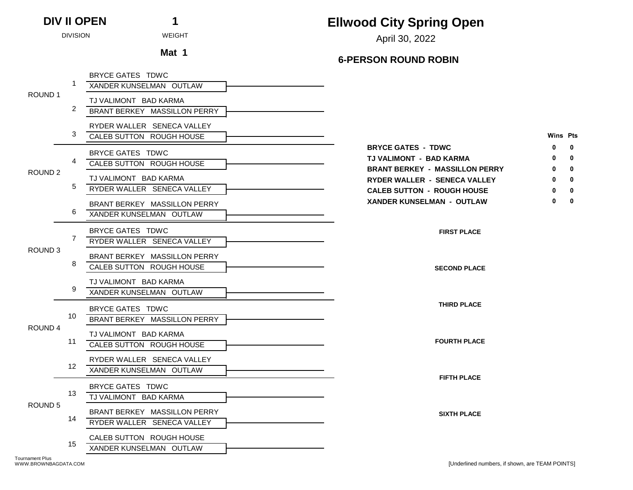April 30, 2022 DIVISION WEIGHT

**6-PERSON ROUND ROBIN**

|                    |                      | BRYCE GATES TDWC             |                                       |              |
|--------------------|----------------------|------------------------------|---------------------------------------|--------------|
| ROUND <sub>1</sub> |                      | XANDER KUNSELMAN OUTLAW      |                                       |              |
|                    |                      | TJ VALIMONT BAD KARMA        |                                       |              |
|                    | $\mathbf{2}^{\circ}$ | BRANT BERKEY MASSILLON PERRY |                                       |              |
|                    |                      | RYDER WALLER SENECA VALLEY   |                                       |              |
|                    | 3                    | CALEB SUTTON ROUGH HOUSE     | Wins Pts                              |              |
|                    |                      | BRYCE GATES TDWC             | <b>BRYCE GATES - TDWC</b><br>0        | $\mathbf{0}$ |
|                    |                      | CALEB SUTTON ROUGH HOUSE     | TJ VALIMONT - BAD KARMA               | 0            |
| ROUND <sub>2</sub> |                      |                              | <b>BRANT BERKEY - MASSILLON PERRY</b> | $\mathbf{0}$ |
|                    | 5                    | TJ VALIMONT BAD KARMA        | RYDER WALLER - SENECA VALLEY          | 0            |
|                    |                      | RYDER WALLER SENECA VALLEY   | <b>CALEB SUTTON - ROUGH HOUSE</b>     | 0            |
|                    |                      | BRANT BERKEY MASSILLON PERRY | <b>XANDER KUNSELMAN - OUTLAW</b><br>0 | $\mathbf{0}$ |
|                    | 6                    | XANDER KUNSELMAN OUTLAW      |                                       |              |
|                    |                      | BRYCE GATES TDWC             | <b>FIRST PLACE</b>                    |              |
|                    |                      | RYDER WALLER SENECA VALLEY   |                                       |              |
| ROUND <sub>3</sub> |                      | BRANT BERKEY MASSILLON PERRY |                                       |              |
|                    | 8                    | CALEB SUTTON ROUGH HOUSE     | <b>SECOND PLACE</b>                   |              |
|                    |                      |                              |                                       |              |
|                    |                      | TJ VALIMONT BAD KARMA        |                                       |              |
|                    |                      | XANDER KUNSELMAN OUTLAW      |                                       |              |
|                    |                      | BRYCE GATES TDWC             | <b>THIRD PLACE</b>                    |              |
|                    | 10                   | BRANT BERKEY MASSILLON PERRY |                                       |              |
| ROUND 4            |                      | TJ VALIMONT BAD KARMA        |                                       |              |
|                    | 11                   | CALEB SUTTON ROUGH HOUSE     | <b>FOURTH PLACE</b>                   |              |
|                    |                      | RYDER WALLER SENECA VALLEY   |                                       |              |
|                    | 12 <sup>°</sup>      | XANDER KUNSELMAN OUTLAW      |                                       |              |
|                    |                      |                              | <b>FIFTH PLACE</b>                    |              |
|                    | 13                   | BRYCE GATES TDWC             |                                       |              |
| ROUND <sub>5</sub> |                      | TJ VALIMONT BAD KARMA        |                                       |              |
|                    |                      | BRANT BERKEY MASSILLON PERRY | <b>SIXTH PLACE</b>                    |              |
|                    | 14                   | RYDER WALLER SENECA VALLEY   |                                       |              |
|                    |                      | CALEB SUTTON ROUGH HOUSE     |                                       |              |
|                    | 15                   | XANDER KUNSELMAN OUTLAW      |                                       |              |
|                    |                      |                              |                                       |              |

**DIV II OPEN 1**

**Mat 1**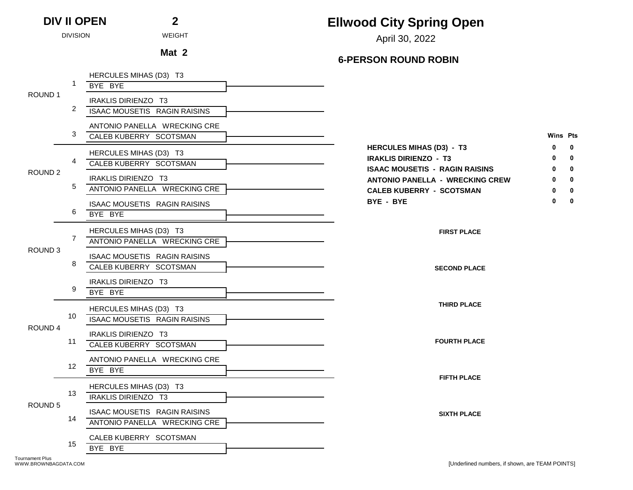**Ellwood City Spring Open**

April 30, 2022 DIVISION WEIGHT

**Mat 2**

|                    |                  | HERCULES MIHAS (D3) T3<br>BYE BYE                            |                                                                                                                    |                             |
|--------------------|------------------|--------------------------------------------------------------|--------------------------------------------------------------------------------------------------------------------|-----------------------------|
| ROUND <sub>1</sub> |                  | IRAKLIS DIRIENZO T3                                          |                                                                                                                    |                             |
|                    | 2                | ISAAC MOUSETIS RAGIN RAISINS                                 |                                                                                                                    |                             |
|                    | 3                | ANTONIO PANELLA WRECKING CRE<br>CALEB KUBERRY SCOTSMAN       | Wins Pts                                                                                                           |                             |
| ROUND <sub>2</sub> | 4                | HERCULES MIHAS (D3) T3<br>CALEB KUBERRY SCOTSMAN             | <b>HERCULES MIHAS (D3) - T3</b><br>ŋ<br><b>IRAKLIS DIRIENZO - T3</b>                                               | $\mathbf 0$<br>$\mathbf{0}$ |
|                    | 5                | IRAKLIS DIRIENZO T3<br>ANTONIO PANELLA WRECKING CRE          | <b>ISAAC MOUSETIS - RAGIN RAISINS</b><br><b>ANTONIO PANELLA - WRECKING CREW</b><br><b>CALEB KUBERRY - SCOTSMAN</b> | 0<br>0<br>0                 |
|                    | 6                | ISAAC MOUSETIS RAGIN RAISINS<br>BYE BYE                      | BYE - BYE<br>0                                                                                                     | $\mathbf 0$                 |
| ROUND <sub>3</sub> | 7                | HERCULES MIHAS (D3) T3<br>ANTONIO PANELLA WRECKING CRE       | <b>FIRST PLACE</b>                                                                                                 |                             |
|                    | 8                | ISAAC MOUSETIS RAGIN RAISINS<br>CALEB KUBERRY SCOTSMAN       | <b>SECOND PLACE</b>                                                                                                |                             |
|                    | 9                | IRAKLIS DIRIENZO T3<br>BYE BYE                               |                                                                                                                    |                             |
|                    | 10               | HERCULES MIHAS (D3) T3<br>ISAAC MOUSETIS RAGIN RAISINS       | <b>THIRD PLACE</b>                                                                                                 |                             |
| ROUND 4            | 11               | IRAKLIS DIRIENZO T3<br>CALEB KUBERRY SCOTSMAN                | <b>FOURTH PLACE</b>                                                                                                |                             |
|                    | 12 <sup>12</sup> | ANTONIO PANELLA WRECKING CRE<br>BYE BYE                      | <b>FIFTH PLACE</b>                                                                                                 |                             |
|                    | 13               | HERCULES MIHAS (D3) T3<br>IRAKLIS DIRIENZO T3                |                                                                                                                    |                             |
| ROUND <sub>5</sub> | 14               | ISAAC MOUSETIS RAGIN RAISINS<br>ANTONIO PANELLA WRECKING CRE | <b>SIXTH PLACE</b>                                                                                                 |                             |
|                    | 15               | CALEB KUBERRY SCOTSMAN<br>BYE BYE                            |                                                                                                                    |                             |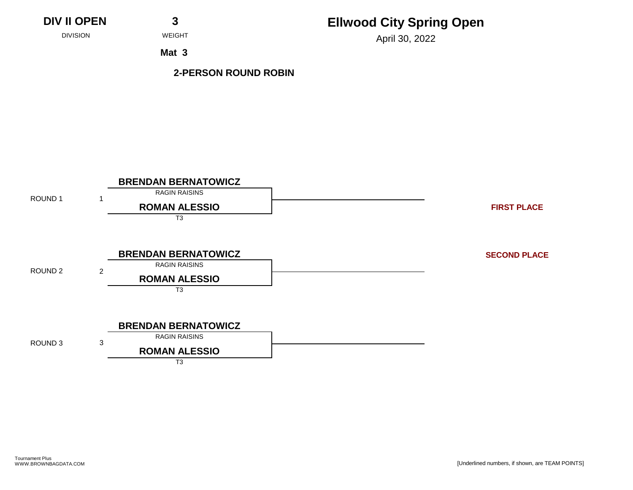## **Ellwood City Spring Open**

April 30, 2022 DIVISION WEIGHT

**Mat 3**

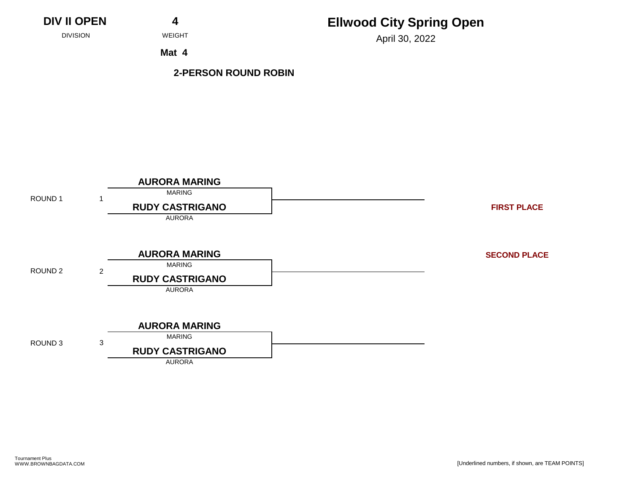# **Ellwood City Spring Open**

April 30, 2022 DIVISION WEIGHT

**Mat 4**

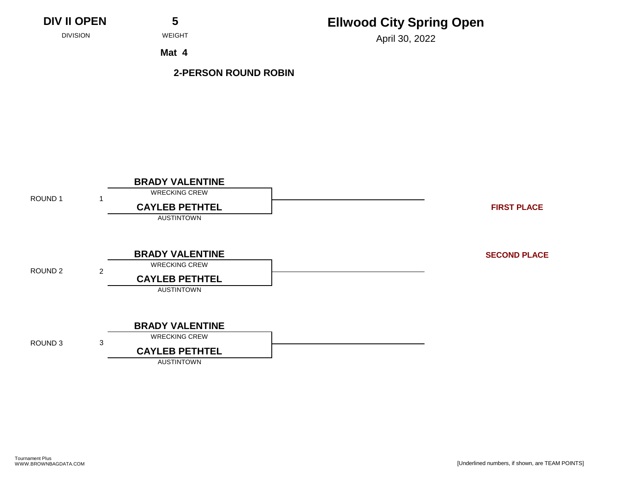## **Ellwood City Spring Open**

April 30, 2022 DIVISION WEIGHT

**Mat 4**

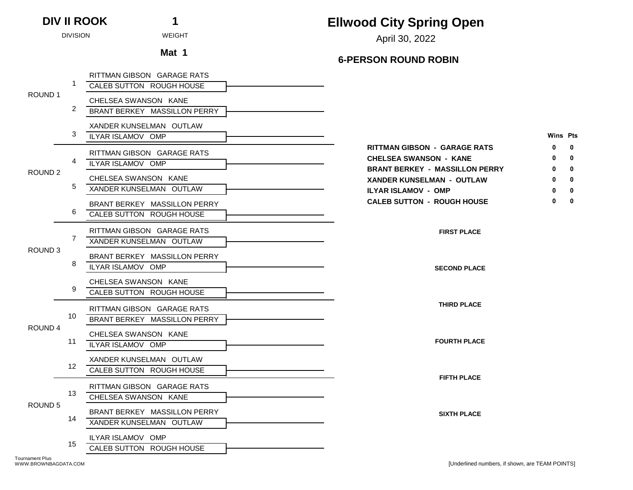### **Ellwood City Spring Open** April 30, 2022 DIVISION WEIGHT

**6-PERSON ROUND ROBIN**

|                    |    | RITTMAN GIBSON GARAGE RATS<br>CALEB SUTTON ROUGH HOUSE     |                                                                                                         |                                             |  |  |
|--------------------|----|------------------------------------------------------------|---------------------------------------------------------------------------------------------------------|---------------------------------------------|--|--|
| ROUND <sub>1</sub> |    |                                                            |                                                                                                         |                                             |  |  |
|                    | 2  | CHELSEA SWANSON KANE<br>BRANT BERKEY MASSILLON PERRY       |                                                                                                         |                                             |  |  |
|                    | 3  | XANDER KUNSELMAN OUTLAW<br>ILYAR ISLAMOV OMP               |                                                                                                         | <b>Wins Pts</b>                             |  |  |
|                    | 4  | RITTMAN GIBSON GARAGE RATS<br>ILYAR ISLAMOV OMP            | <b>RITTMAN GIBSON - GARAGE RATS</b><br>0<br><b>CHELSEA SWANSON - KANE</b>                               | $\mathbf 0$<br>$\mathbf{0}$<br>$\mathbf{0}$ |  |  |
| ROUND <sub>2</sub> | 5  | CHELSEA SWANSON KANE<br>XANDER KUNSELMAN OUTLAW            | <b>BRANT BERKEY - MASSILLON PERRY</b><br><b>XANDER KUNSELMAN - OUTLAW</b><br><b>ILYAR ISLAMOV - OMP</b> | $\mathbf{0}$<br>0                           |  |  |
|                    | 6  | BRANT BERKEY MASSILLON PERRY<br>CALEB SUTTON ROUGH HOUSE   | <b>CALEB SUTTON - ROUGH HOUSE</b><br>0                                                                  | $\mathbf 0$                                 |  |  |
|                    | 7  | RITTMAN GIBSON GARAGE RATS<br>XANDER KUNSELMAN OUTLAW      | <b>FIRST PLACE</b>                                                                                      |                                             |  |  |
| ROUND <sub>3</sub> | 8  | BRANT BERKEY MASSILLON PERRY<br>ILYAR ISLAMOV OMP          | <b>SECOND PLACE</b>                                                                                     |                                             |  |  |
|                    |    | CHELSEA SWANSON KANE<br>CALEB SUTTON ROUGH HOUSE           |                                                                                                         |                                             |  |  |
|                    | 10 | RITTMAN GIBSON GARAGE RATS<br>BRANT BERKEY MASSILLON PERRY | <b>THIRD PLACE</b>                                                                                      |                                             |  |  |
| ROUND 4            | 11 | CHELSEA SWANSON KANE<br>ILYAR ISLAMOV OMP                  | <b>FOURTH PLACE</b>                                                                                     |                                             |  |  |
|                    | 12 | XANDER KUNSELMAN OUTLAW<br>CALEB SUTTON ROUGH HOUSE        | <b>FIFTH PLACE</b>                                                                                      |                                             |  |  |
|                    | 13 | RITTMAN GIBSON GARAGE RATS<br>CHELSEA SWANSON KANE         |                                                                                                         |                                             |  |  |
| ROUND <sub>5</sub> | 14 | BRANT BERKEY MASSILLON PERRY<br>XANDER KUNSELMAN OUTLAW    | <b>SIXTH PLACE</b>                                                                                      |                                             |  |  |
|                    | 15 | ILYAR ISLAMOV OMP<br>CALEB SUTTON ROUGH HOUSE              |                                                                                                         |                                             |  |  |
|                    |    |                                                            |                                                                                                         |                                             |  |  |

**DIV II ROOK 1**

**Mat 1**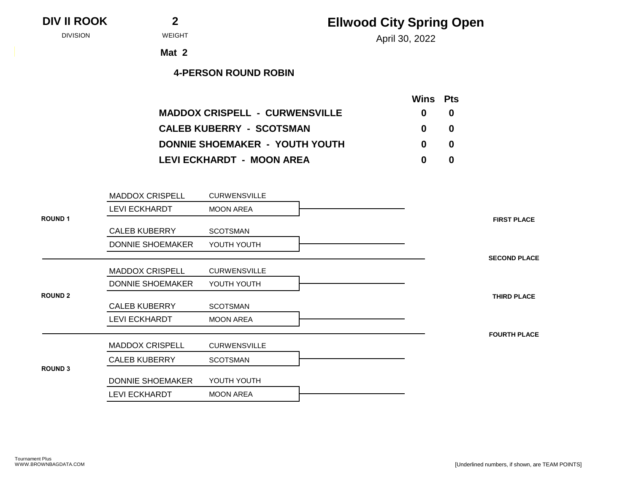### **DIV II ROOK 2**

## **Ellwood City Spring Open**

April 30, 2022 DIVISION WEIGHT

**Mat 2**

|                                            | Wins Pts |
|--------------------------------------------|----------|
| <b>MADDOX CRISPELL - CURWENSVILLE</b><br>0 | 0        |
| <b>CALEB KUBERRY - SCOTSMAN</b><br>0       | 0        |
| DONNIE SHOEMAKER - YOUTH YOUTH<br>0        | 0        |
| LEVI ECKHARDT - MOON AREA<br>o             | 0        |

|                | <b>MADDOX CRISPELL</b> | <b>CURWENSVILLE</b> |                     |
|----------------|------------------------|---------------------|---------------------|
|                | <b>LEVI ECKHARDT</b>   | <b>MOON AREA</b>    |                     |
| <b>ROUND1</b>  |                        |                     | <b>FIRST PLACE</b>  |
|                | <b>CALEB KUBERRY</b>   | <b>SCOTSMAN</b>     |                     |
|                | DONNIE SHOEMAKER       | YOUTH YOUTH         |                     |
|                |                        |                     | <b>SECOND PLACE</b> |
|                | <b>MADDOX CRISPELL</b> | <b>CURWENSVILLE</b> |                     |
|                | DONNIE SHOEMAKER       | YOUTH YOUTH         |                     |
| <b>ROUND 2</b> |                        |                     | <b>THIRD PLACE</b>  |
|                | <b>CALEB KUBERRY</b>   | <b>SCOTSMAN</b>     |                     |
|                | <b>LEVI ECKHARDT</b>   | <b>MOON AREA</b>    |                     |
|                |                        |                     | <b>FOURTH PLACE</b> |
|                | <b>MADDOX CRISPELL</b> | <b>CURWENSVILLE</b> |                     |
|                | <b>CALEB KUBERRY</b>   | <b>SCOTSMAN</b>     |                     |
| <b>ROUND 3</b> |                        |                     |                     |
|                | DONNIE SHOEMAKER       | YOUTH YOUTH         |                     |
|                | <b>LEVI ECKHARDT</b>   | <b>MOON AREA</b>    |                     |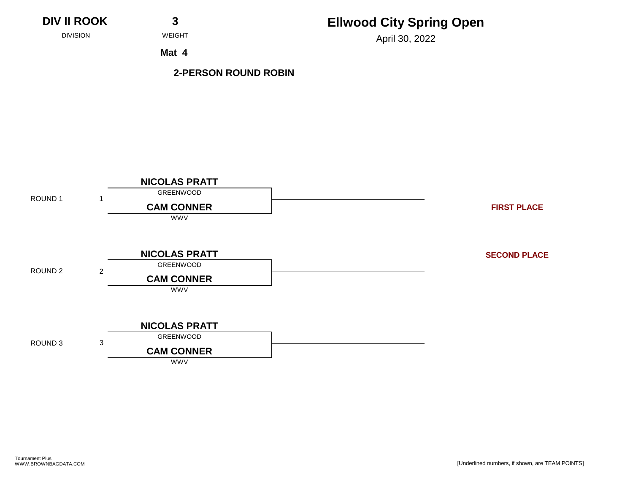**DIV II ROOK 3**

# **Ellwood City Spring Open**

April 30, 2022 DIVISION WEIGHT

**Mat 4**

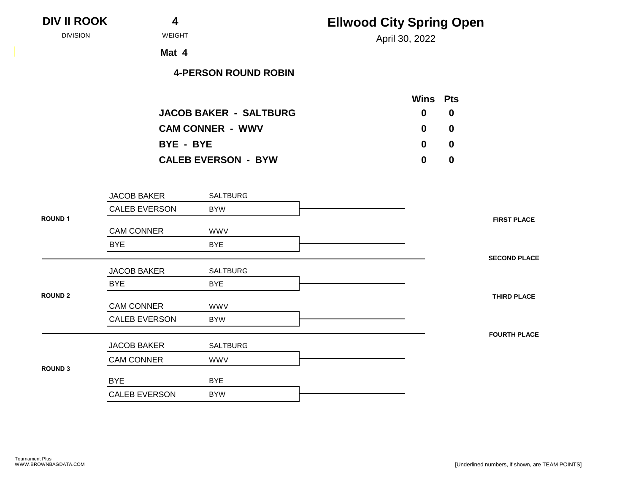| DIV II ROOK |  |  |
|-------------|--|--|
|-------------|--|--|

April 30, 2022 DIVISION WEIGHT

**Mat 4**

|                               | Wins Pts     |    |
|-------------------------------|--------------|----|
| <b>JACOB BAKER - SALTBURG</b> | $\mathbf{0}$ | -0 |
| <b>CAM CONNER - WWV</b>       | $\mathbf{0}$ | -0 |
| BYE - BYE                     | $\mathbf{0}$ | 0  |
| <b>CALEB EVERSON - BYW</b>    | 0            | 0  |

|                | <b>JACOB BAKER</b>   | SALTBURG        |                     |
|----------------|----------------------|-----------------|---------------------|
|                | <b>CALEB EVERSON</b> | <b>BYW</b>      |                     |
| <b>ROUND 1</b> | <b>CAM CONNER</b>    | <b>WWV</b>      | <b>FIRST PLACE</b>  |
|                | <b>BYE</b>           | <b>BYE</b>      |                     |
|                |                      |                 | <b>SECOND PLACE</b> |
|                | <b>JACOB BAKER</b>   | SALTBURG        |                     |
|                | <b>BYE</b>           | <b>BYE</b>      |                     |
| <b>ROUND 2</b> |                      |                 | <b>THIRD PLACE</b>  |
|                | <b>CAM CONNER</b>    | <b>WWV</b>      |                     |
|                | <b>CALEB EVERSON</b> | <b>BYW</b>      |                     |
|                |                      |                 | <b>FOURTH PLACE</b> |
|                | <b>JACOB BAKER</b>   | <b>SALTBURG</b> |                     |
|                | <b>CAM CONNER</b>    | <b>WWV</b>      |                     |
| <b>ROUND 3</b> |                      |                 |                     |
|                | <b>BYE</b>           | <b>BYE</b>      |                     |
|                | <b>CALEB EVERSON</b> | <b>BYW</b>      |                     |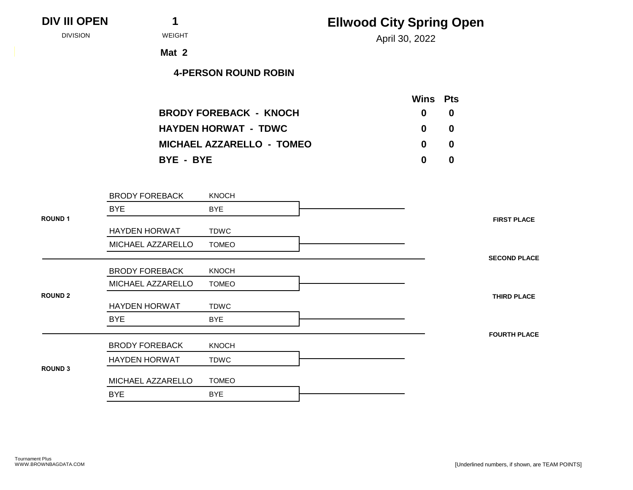April 30, 2022 DIVISION WEIGHT

**Mat 2**

|                                  | <b>Wins</b> Pts |     |
|----------------------------------|-----------------|-----|
| <b>BRODY FOREBACK - KNOCH</b>    | $\mathbf{0}$    | - 0 |
| <b>HAYDEN HORWAT - TDWC</b>      | $\mathbf{0}$    | - 0 |
| <b>MICHAEL AZZARELLO - TOMEO</b> | $\mathbf{0}$    | - 0 |
| BYE - BYE                        | 0               | -0  |

|                | <b>BRODY FOREBACK</b> | <b>KNOCH</b> |                     |
|----------------|-----------------------|--------------|---------------------|
|                | <b>BYE</b>            | <b>BYE</b>   |                     |
| <b>ROUND1</b>  |                       |              | <b>FIRST PLACE</b>  |
|                | <b>HAYDEN HORWAT</b>  | <b>TDWC</b>  |                     |
|                | MICHAEL AZZARELLO     | <b>TOMEO</b> |                     |
|                |                       |              | <b>SECOND PLACE</b> |
|                | <b>BRODY FOREBACK</b> | <b>KNOCH</b> |                     |
|                | MICHAEL AZZARELLO     | <b>TOMEO</b> |                     |
| <b>ROUND 2</b> |                       |              | <b>THIRD PLACE</b>  |
|                | <b>HAYDEN HORWAT</b>  | <b>TDWC</b>  |                     |
|                | <b>BYE</b>            | <b>BYE</b>   |                     |
|                |                       |              | <b>FOURTH PLACE</b> |
|                | <b>BRODY FOREBACK</b> | <b>KNOCH</b> |                     |
|                | <b>HAYDEN HORWAT</b>  | <b>TDWC</b>  |                     |
| <b>ROUND 3</b> |                       |              |                     |
|                | MICHAEL AZZARELLO     | <b>TOMEO</b> |                     |
|                | <b>BYE</b>            | <b>BYE</b>   |                     |
|                |                       |              |                     |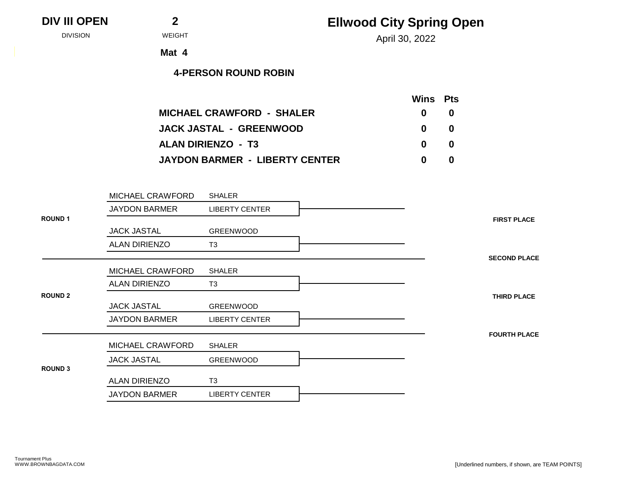## **Ellwood City Spring Open**

April 30, 2022 DIVISION WEIGHT

**Mat 4**

|                                       | <b>Wins</b> Pts |    |
|---------------------------------------|-----------------|----|
| <b>MICHAEL CRAWFORD - SHALER</b>      | $\mathbf{0}$    | -0 |
| <b>JACK JASTAL - GREENWOOD</b>        | $\mathbf{0}$    | -0 |
| <b>ALAN DIRIENZO - T3</b>             | $\mathbf{0}$    | -0 |
| <b>JAYDON BARMER - LIBERTY CENTER</b> | n               | 0  |

|                | MICHAEL CRAWFORD     | <b>SHALER</b>         |
|----------------|----------------------|-----------------------|
|                | <b>JAYDON BARMER</b> | <b>LIBERTY CENTER</b> |
| <b>ROUND1</b>  |                      |                       |
|                | <b>JACK JASTAL</b>   | <b>GREENWOOD</b>      |
|                | ALAN DIRIENZO        | T <sub>3</sub>        |
|                |                      |                       |
|                | MICHAEL CRAWFORD     | <b>SHALER</b>         |
|                | <b>ALAN DIRIENZO</b> | T <sub>3</sub>        |
| <b>ROUND 2</b> |                      |                       |
|                | <b>JACK JASTAL</b>   | <b>GREENWOOD</b>      |
|                | <b>JAYDON BARMER</b> | <b>LIBERTY CENTER</b> |
|                |                      |                       |
|                | MICHAEL CRAWFORD     | <b>SHALER</b>         |
|                | <b>JACK JASTAL</b>   | <b>GREENWOOD</b>      |
| <b>ROUND 3</b> |                      |                       |
|                | <b>ALAN DIRIENZO</b> | T <sub>3</sub>        |
|                | <b>JAYDON BARMER</b> | <b>LIBERTY CENTER</b> |
|                |                      |                       |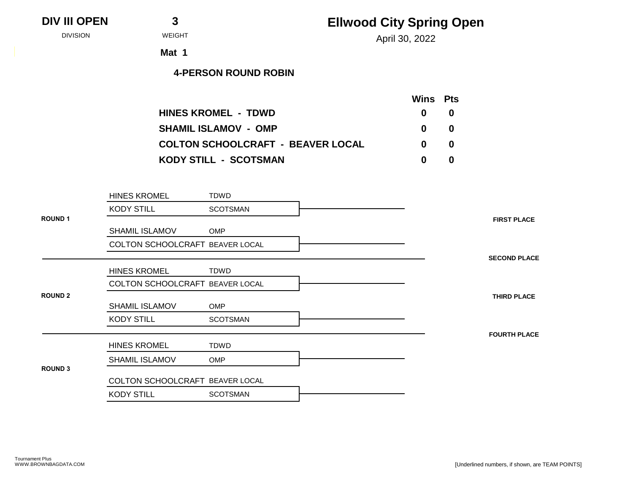## **Ellwood City Spring Open**

April 30, 2022 DIVISION WEIGHT

**Mat 1**

|                                          | <b>Wins</b> Pts |    |
|------------------------------------------|-----------------|----|
| <b>HINES KROMEL - TDWD</b>               | $\mathbf{0}$    | -0 |
| <b>SHAMIL ISLAMOV - OMP</b>              | $\mathbf{0}$    | -0 |
| <b>COLTON SCHOOLCRAFT - BEAVER LOCAL</b> | n.              | -0 |
| <b>KODY STILL - SCOTSMAN</b>             | n               | 0  |

|                | <b>HINES KROMEL</b>             | TDWD            |
|----------------|---------------------------------|-----------------|
|                | <b>KODY STILL</b>               | <b>SCOTSMAN</b> |
| <b>ROUND 1</b> |                                 |                 |
|                | <b>SHAMIL ISLAMOV</b>           | <b>OMP</b>      |
|                | COLTON SCHOOLCRAFT BEAVER LOCAL |                 |
|                |                                 |                 |
|                | <b>HINES KROMEL</b>             | TDWD            |
|                | COLTON SCHOOLCRAFT BEAVER LOCAL |                 |
| <b>ROUND 2</b> |                                 |                 |
|                | <b>SHAMIL ISLAMOV</b>           | <b>OMP</b>      |
|                | <b>KODY STILL</b>               | <b>SCOTSMAN</b> |
|                |                                 |                 |
|                | <b>HINES KROMEL</b>             | TDWD            |
|                | <b>SHAMIL ISLAMOV</b>           | <b>OMP</b>      |
| <b>ROUND 3</b> |                                 |                 |
|                | COLTON SCHOOLCRAFT BEAVER LOCAL |                 |
|                | <b>KODY STILL</b>               | <b>SCOTSMAN</b> |
|                |                                 |                 |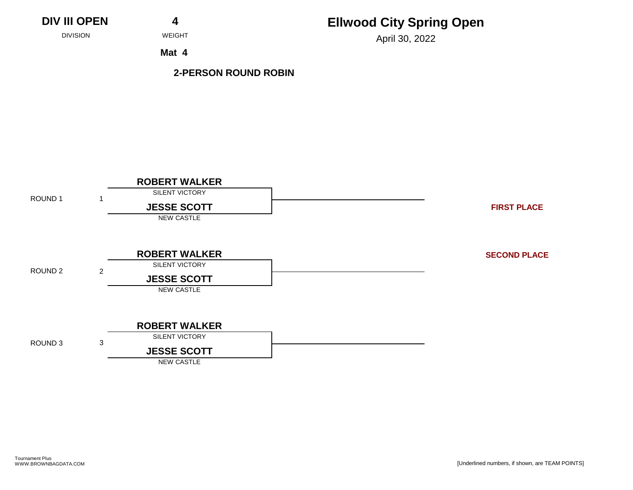# **Ellwood City Spring Open**

April 30, 2022 DIVISION WEIGHT

**Mat 4**

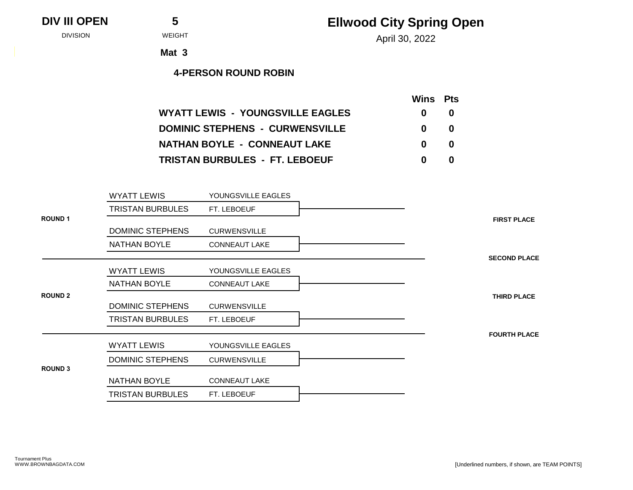| <b>DIV III OPEN</b> |  |  |
|---------------------|--|--|
|---------------------|--|--|

April 30, 2022 DIVISION WEIGHT

**Mat 3**

|                                         | <b>Wins</b> Pts |   |
|-----------------------------------------|-----------------|---|
| <b>WYATT LEWIS - YOUNGSVILLE EAGLES</b> | $\mathbf{0}$    | 0 |
| <b>DOMINIC STEPHENS - CURWENSVILLE</b>  | $\mathbf{0}$    | 0 |
| <b>NATHAN BOYLE - CONNEAUT LAKE</b>     | $\mathbf{0}$    | 0 |
| <b>TRISTAN BURBULES - FT. LEBOEUF</b>   | 0               | 0 |

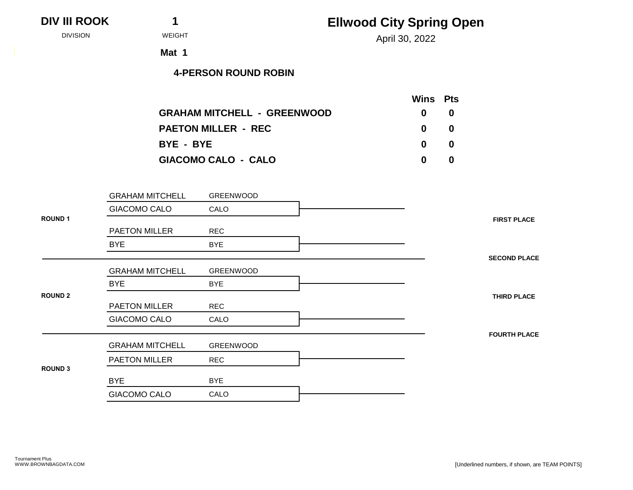| <b>Ellwood City Spring Open</b> |  |
|---------------------------------|--|
|---------------------------------|--|

| <b>DIV III ROOK</b> |  |
|---------------------|--|
|---------------------|--|

April 30, 2022 DIVISION WEIGHT

**Mat 1**

|                                    |              | Wins Pts |
|------------------------------------|--------------|----------|
| <b>GRAHAM MITCHELL - GREENWOOD</b> | $\mathbf{0}$ | -0       |
| <b>PAETON MILLER - REC</b>         | $\mathbf{0}$ | -0       |
| BYE - BYE                          | $\mathbf{0}$ | -0       |
| <b>GIACOMO CALO - CALO</b><br>0    |              | 0        |

|                | <b>GRAHAM MITCHELL</b> | GREENWOOD  |                     |
|----------------|------------------------|------------|---------------------|
|                | GIACOMO CALO           | CALO       |                     |
| <b>ROUND 1</b> |                        |            | <b>FIRST PLACE</b>  |
|                | PAETON MILLER          | <b>REC</b> |                     |
|                | <b>BYE</b>             | <b>BYE</b> |                     |
|                |                        |            | <b>SECOND PLACE</b> |
|                | <b>GRAHAM MITCHELL</b> | GREENWOOD  |                     |
|                | <b>BYE</b>             | <b>BYE</b> |                     |
| <b>ROUND 2</b> |                        |            | <b>THIRD PLACE</b>  |
|                | <b>PAETON MILLER</b>   | <b>REC</b> |                     |
|                | GIACOMO CALO           | CALO       |                     |
|                |                        |            | <b>FOURTH PLACE</b> |
|                | <b>GRAHAM MITCHELL</b> | GREENWOOD  |                     |
|                | <b>PAETON MILLER</b>   | <b>REC</b> |                     |
| <b>ROUND 3</b> |                        |            |                     |
|                | <b>BYE</b>             | <b>BYE</b> |                     |
|                | <b>GIACOMO CALO</b>    | CALO       |                     |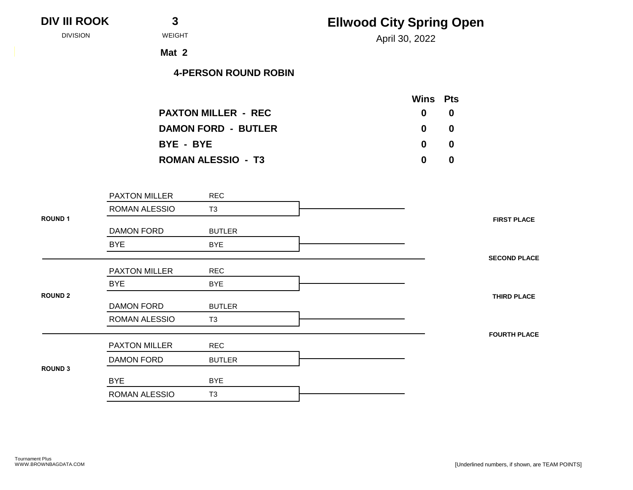| <b>III ROOK</b> | 3                           | <b>Ellwood City Spring Open</b> |
|-----------------|-----------------------------|---------------------------------|
| DIVISION        | <b>WEIGHT</b>               | April 30, 2022                  |
|                 | Mat 2                       |                                 |
|                 | <b>4-PERSON ROUND ROBIN</b> |                                 |
|                 |                             | <b>Wins Pts</b>                 |
|                 | <b>PAXTON MILLER - REC</b>  | $\bf{0}$<br>$\bf{0}$            |
|                 | <b>DAMON FORD - BUTLER</b>  | $\boldsymbol{0}$<br>$\mathbf 0$ |
|                 | BYE - BYE                   | $\bf{0}$<br>$\boldsymbol{0}$    |
|                 | <b>ROMAN ALESSIO - T3</b>   | $\bf{0}$<br>$\mathbf 0$         |

|                | $1.7011$ OIT IVILLELIT | $\sim$         |
|----------------|------------------------|----------------|
|                | <b>ROMAN ALESSIO</b>   | T <sub>3</sub> |
| <b>ROUND 1</b> |                        |                |
|                | <b>DAMON FORD</b>      | <b>BUTLER</b>  |
|                | <b>BYE</b>             | <b>BYE</b>     |
|                |                        |                |
|                | <b>PAXTON MILLER</b>   | <b>REC</b>     |
|                | <b>BYE</b>             | <b>BYE</b>     |
| <b>ROUND 2</b> |                        |                |
|                | <b>DAMON FORD</b>      | <b>BUTLER</b>  |
|                | ROMAN ALESSIO          | T <sub>3</sub> |
|                |                        |                |
|                | <b>PAXTON MILLER</b>   | <b>REC</b>     |
|                | <b>DAMON FORD</b>      | <b>BUTLER</b>  |
| <b>ROUND 3</b> |                        |                |
|                | <b>BYE</b>             | <b>BYE</b>     |
|                | ROMAN ALESSIO          | T <sub>3</sub> |
|                |                        |                |

**DIV III ROOK**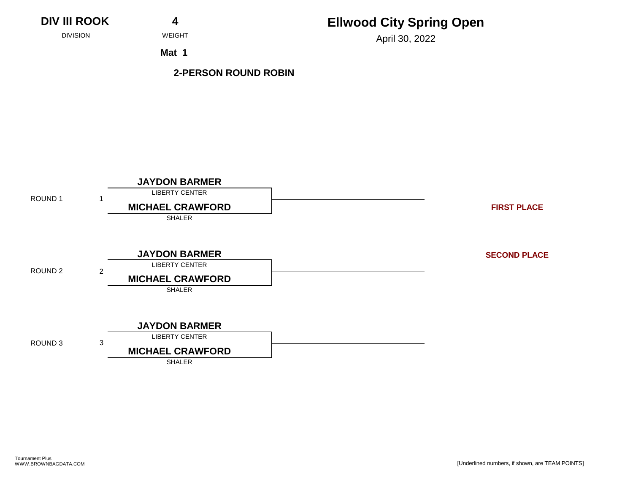**DIV III ROOK 4**

## **Ellwood City Spring Open**

April 30, 2022 DIVISION WEIGHT

**Mat 1**

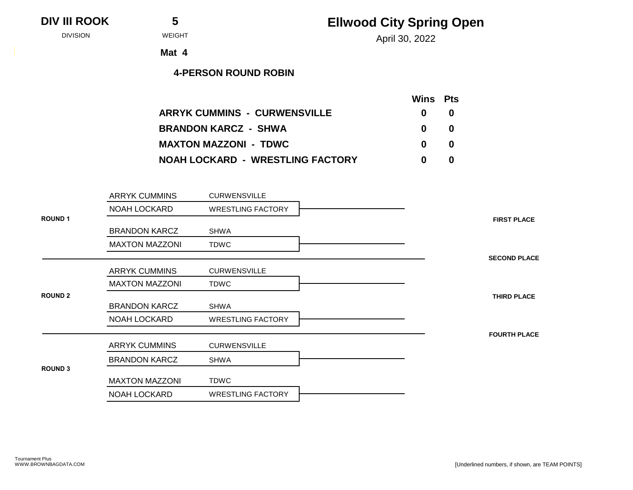### **DIV III ROOK 5**

## **Ellwood City Spring Open**

April 30, 2022 DIVISION WEIGHT

**Mat 4**

|                                         | Wins Pts     |    |  |
|-----------------------------------------|--------------|----|--|
| <b>ARRYK CUMMINS - CURWENSVILLE</b>     | 0            | 0  |  |
| <b>BRANDON KARCZ - SHWA</b>             | 0            | -0 |  |
| <b>MAXTON MAZZONI - TDWC</b>            | $\mathbf{0}$ | 0  |  |
| <b>NOAH LOCKARD - WRESTLING FACTORY</b> |              | O  |  |

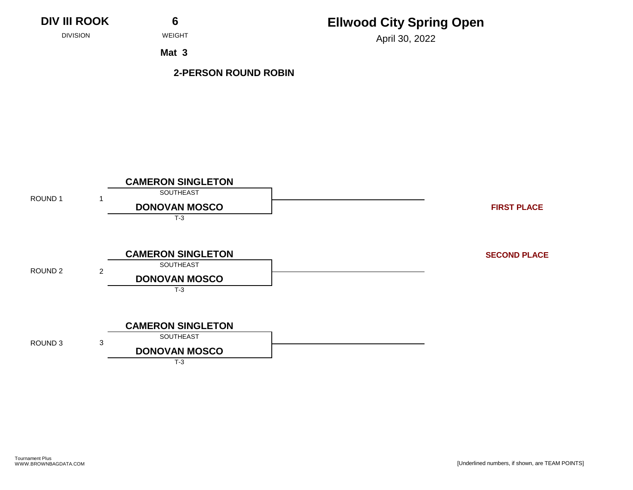

April 30, 2022 DIVISION WEIGHT

**Mat 3**

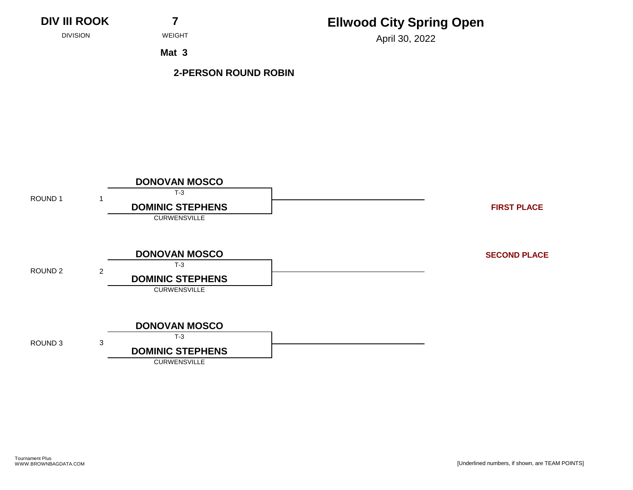

April 30, 2022 DIVISION WEIGHT

**Mat 3**

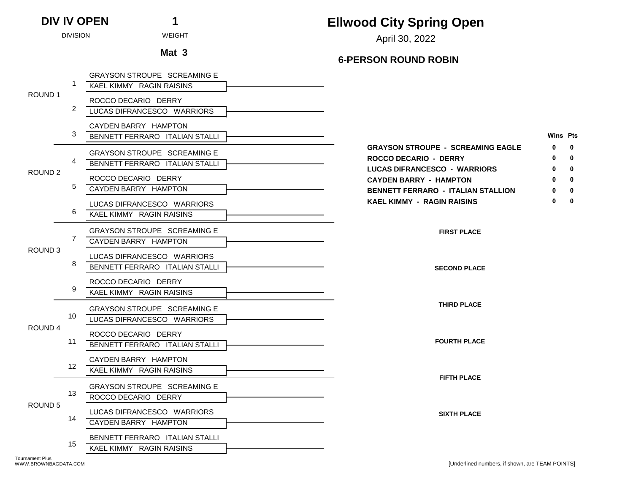# **Ellwood City Spring Open**

April 30, 2022 DIVISION WEIGHT

# Mat 3 6-PERSON ROUND ROBIN

|                    |    | <b>GRAYSON STROUPE SCREAMING E</b>                     |                                                               |                   |
|--------------------|----|--------------------------------------------------------|---------------------------------------------------------------|-------------------|
| ROUND 1            | -1 | KAEL KIMMY RAGIN RAISINS                               |                                                               |                   |
|                    |    | ROCCO DECARIO DERRY                                    |                                                               |                   |
|                    | 2  | LUCAS DIFRANCESCO WARRIORS                             |                                                               |                   |
|                    |    | CAYDEN BARRY HAMPTON                                   |                                                               |                   |
|                    | 3  | BENNETT FERRARO ITALIAN STALLI                         | <b>Wins Pts</b>                                               |                   |
|                    |    | GRAYSON STROUPE SCREAMING E                            | <b>GRAYSON STROUPE - SCREAMING EAGLE</b><br>0                 | $\mathbf{0}$      |
|                    | 4  | BENNETT FERRARO ITALIAN STALLI                         | <b>ROCCO DECARIO - DERRY</b>                                  | $\mathbf{0}$      |
| ROUND <sub>2</sub> |    | ROCCO DECARIO DERRY                                    | LUCAS DIFRANCESCO - WARRIORS<br><b>CAYDEN BARRY - HAMPTON</b> | 0<br>$\mathbf{0}$ |
|                    | 5  | CAYDEN BARRY HAMPTON                                   | <b>BENNETT FERRARO - ITALIAN STALLION</b>                     | 0                 |
|                    |    |                                                        | <b>KAEL KIMMY - RAGIN RAISINS</b><br>0                        | $\mathbf 0$       |
|                    | 6  | LUCAS DIFRANCESCO WARRIORS<br>KAEL KIMMY RAGIN RAISINS |                                                               |                   |
|                    |    |                                                        |                                                               |                   |
|                    | 7  | GRAYSON STROUPE SCREAMING E                            | <b>FIRST PLACE</b>                                            |                   |
| ROUND <sub>3</sub> |    | CAYDEN BARRY HAMPTON                                   |                                                               |                   |
|                    |    | LUCAS DIFRANCESCO WARRIORS                             |                                                               |                   |
|                    | 8  | BENNETT FERRARO ITALIAN STALLI                         | <b>SECOND PLACE</b>                                           |                   |
|                    |    | ROCCO DECARIO DERRY                                    |                                                               |                   |
|                    | 9  | <b>KAEL KIMMY RAGIN RAISINS</b>                        |                                                               |                   |
|                    |    | <b>GRAYSON STROUPE SCREAMING E</b>                     | <b>THIRD PLACE</b>                                            |                   |
|                    | 10 | LUCAS DIFRANCESCO WARRIORS                             |                                                               |                   |
| ROUND 4            |    | ROCCO DECARIO DERRY                                    |                                                               |                   |
|                    | 11 | BENNETT FERRARO ITALIAN STALLI                         | <b>FOURTH PLACE</b>                                           |                   |
|                    |    | CAYDEN BARRY HAMPTON                                   |                                                               |                   |
|                    | 12 | KAEL KIMMY RAGIN RAISINS                               |                                                               |                   |
|                    |    |                                                        | <b>FIFTH PLACE</b>                                            |                   |
|                    | 13 | GRAYSON STROUPE SCREAMING E<br>ROCCO DECARIO DERRY     |                                                               |                   |
| ROUND <sub>5</sub> |    |                                                        |                                                               |                   |
|                    | 14 | LUCAS DIFRANCESCO WARRIORS                             | <b>SIXTH PLACE</b>                                            |                   |
|                    |    | CAYDEN BARRY HAMPTON                                   |                                                               |                   |
|                    | 15 | BENNETT FERRARO ITALIAN STALLI                         |                                                               |                   |
|                    |    | KAEL KIMMY RAGIN RAISINS                               |                                                               |                   |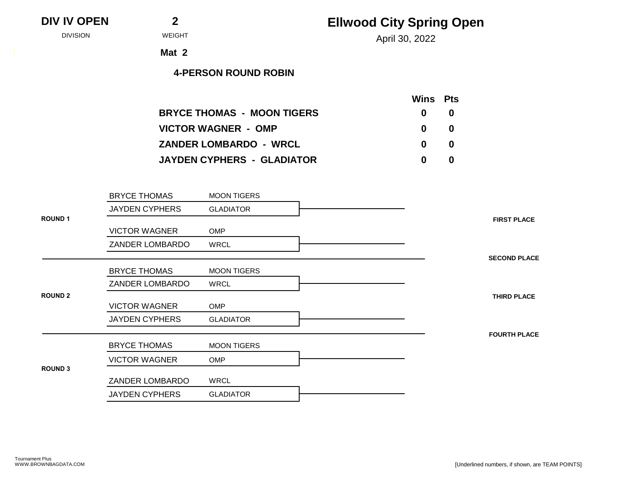April 30, 2022 DIVISION WEIGHT

**Mat 2**

|                                   | <b>Wins</b> Pts |     |  |
|-----------------------------------|-----------------|-----|--|
| <b>BRYCE THOMAS - MOON TIGERS</b> | $\mathbf{0}$    | -0  |  |
| <b>VICTOR WAGNER - OMP</b>        | $\mathbf{0}$    | -0  |  |
| <b>ZANDER LOMBARDO - WRCL</b>     | $\mathbf{0}$    | - 0 |  |
| JAYDEN CYPHERS - GLADIATOR        | 0               | n   |  |

|                | <b>BRYCE THOMAS</b>   | <b>MOON TIGERS</b> |                     |
|----------------|-----------------------|--------------------|---------------------|
|                | <b>JAYDEN CYPHERS</b> | <b>GLADIATOR</b>   |                     |
| <b>ROUND1</b>  |                       |                    | <b>FIRST PLACE</b>  |
|                | <b>VICTOR WAGNER</b>  | <b>OMP</b>         |                     |
|                | ZANDER LOMBARDO       | <b>WRCL</b>        |                     |
|                |                       |                    | <b>SECOND PLACE</b> |
|                | <b>BRYCE THOMAS</b>   | <b>MOON TIGERS</b> |                     |
|                | ZANDER LOMBARDO       | WRCL               |                     |
| <b>ROUND 2</b> |                       |                    | <b>THIRD PLACE</b>  |
|                | <b>VICTOR WAGNER</b>  | <b>OMP</b>         |                     |
|                | <b>JAYDEN CYPHERS</b> | <b>GLADIATOR</b>   |                     |
|                |                       |                    | <b>FOURTH PLACE</b> |
|                | <b>BRYCE THOMAS</b>   | <b>MOON TIGERS</b> |                     |
|                | <b>VICTOR WAGNER</b>  | <b>OMP</b>         |                     |
| <b>ROUND 3</b> |                       |                    |                     |
|                | ZANDER LOMBARDO       | WRCL               |                     |
|                | <b>JAYDEN CYPHERS</b> | <b>GLADIATOR</b>   |                     |
|                |                       |                    |                     |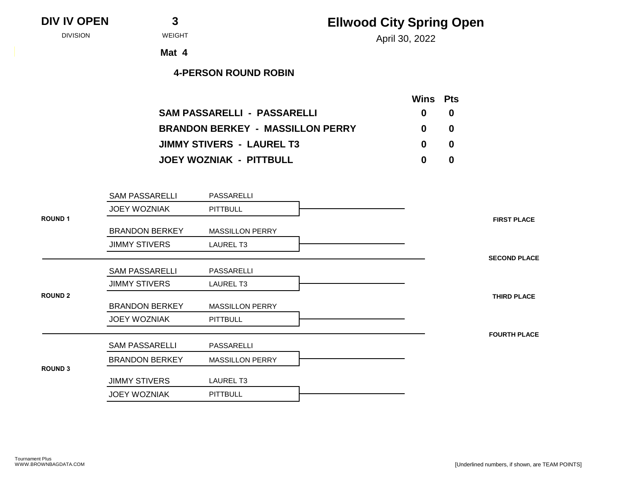**DIV IV OPEN 3**

April 30, 2022 DIVISION WEIGHT

**Mat 4**

|                                         | Wins Pts     |   |
|-----------------------------------------|--------------|---|
| <b>SAM PASSARELLI - PASSARELLI</b>      | $\mathbf{0}$ | 0 |
| <b>BRANDON BERKEY - MASSILLON PERRY</b> | $\mathbf{0}$ | 0 |
| <b>JIMMY STIVERS - LAUREL T3</b>        | $\mathbf{0}$ | 0 |
| JOEY WOZNIAK - PITTBULL                 | 0            | 0 |

|                | <b>SAM PASSARELLI</b> | PASSARELLI             |
|----------------|-----------------------|------------------------|
|                | <b>JOEY WOZNIAK</b>   | <b>PITTBULL</b>        |
| <b>ROUND1</b>  |                       |                        |
|                | <b>BRANDON BERKEY</b> | <b>MASSILLON PERRY</b> |
|                | <b>JIMMY STIVERS</b>  | <b>LAUREL T3</b>       |
|                |                       |                        |
|                | <b>SAM PASSARELLI</b> | PASSARELLI             |
|                | <b>JIMMY STIVERS</b>  | <b>LAUREL T3</b>       |
| <b>ROUND 2</b> |                       |                        |
|                | <b>BRANDON BERKEY</b> | <b>MASSILLON PERRY</b> |
|                | <b>JOEY WOZNIAK</b>   | <b>PITTBULL</b>        |
|                |                       |                        |
|                | <b>SAM PASSARELLI</b> | PASSARELLI             |
|                | <b>BRANDON BERKEY</b> | <b>MASSILLON PERRY</b> |
| <b>ROUND 3</b> |                       |                        |
|                | <b>JIMMY STIVERS</b>  | LAUREL T3              |
|                | <b>JOEY WOZNIAK</b>   | <b>PITTBULL</b>        |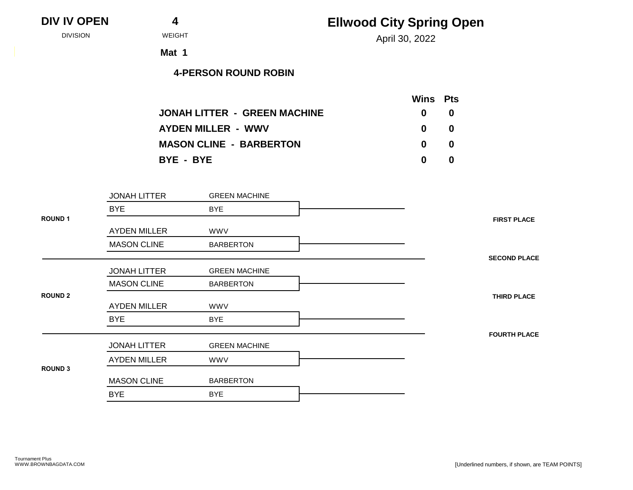| <b>DIV IV OPEN</b> |  |
|--------------------|--|
|                    |  |

April 30, 2022 DIVISION WEIGHT

**Mat 1**

|                                     | Wins Pts     |     |
|-------------------------------------|--------------|-----|
| <b>JONAH LITTER - GREEN MACHINE</b> | $\mathbf{0}$ | -0  |
| <b>AYDEN MILLER - WWV</b>           | $\mathbf{0}$ | - 0 |
| <b>MASON CLINE - BARBERTON</b>      | $\mathbf{0}$ | - 0 |
| BYE - BYE                           | n            | -0  |

|                | <b>JONAH LITTER</b> | <b>GREEN MACHINE</b> |
|----------------|---------------------|----------------------|
|                | <b>BYE</b>          | <b>BYE</b>           |
| <b>ROUND 1</b> |                     |                      |
|                | <b>AYDEN MILLER</b> | <b>WWV</b>           |
|                | <b>MASON CLINE</b>  | <b>BARBERTON</b>     |
|                |                     |                      |
|                | <b>JONAH LITTER</b> | <b>GREEN MACHINE</b> |
|                | <b>MASON CLINE</b>  | <b>BARBERTON</b>     |
| <b>ROUND 2</b> |                     |                      |
|                | <b>AYDEN MILLER</b> | <b>WWV</b>           |
|                | <b>BYE</b>          | <b>BYE</b>           |
|                |                     |                      |
|                | <b>JONAH LITTER</b> | <b>GREEN MACHINE</b> |
|                | <b>AYDEN MILLER</b> | <b>WWV</b>           |
| <b>ROUND 3</b> |                     |                      |
|                | <b>MASON CLINE</b>  | <b>BARBERTON</b>     |
|                | <b>BYE</b>          | <b>BYE</b>           |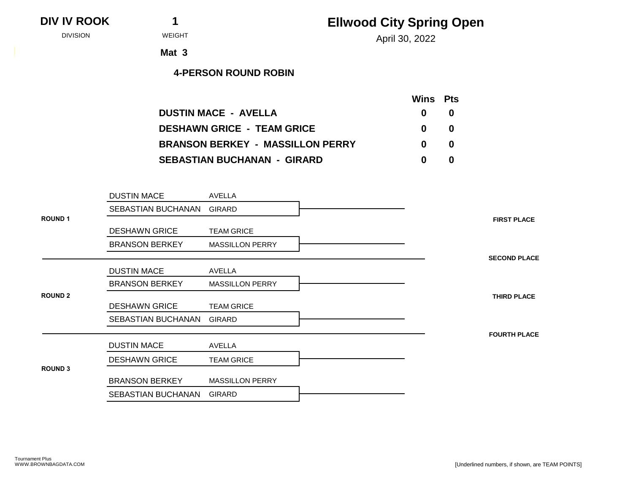**DIV IV ROOK 1**

## **Ellwood City Spring Open**

April 30, 2022 DIVISION WEIGHT

**Mat 3**

|                                         | <b>Wins</b> Pts |   |
|-----------------------------------------|-----------------|---|
| <b>DUSTIN MACE - AVELLA</b>             | $\mathbf{0}$    | 0 |
| <b>DESHAWN GRICE - TEAM GRICE</b>       | 0               | 0 |
| <b>BRANSON BERKEY - MASSILLON PERRY</b> | n.              | 0 |
| <b>SEBASTIAN BUCHANAN - GIRARD</b>      | n               | 0 |

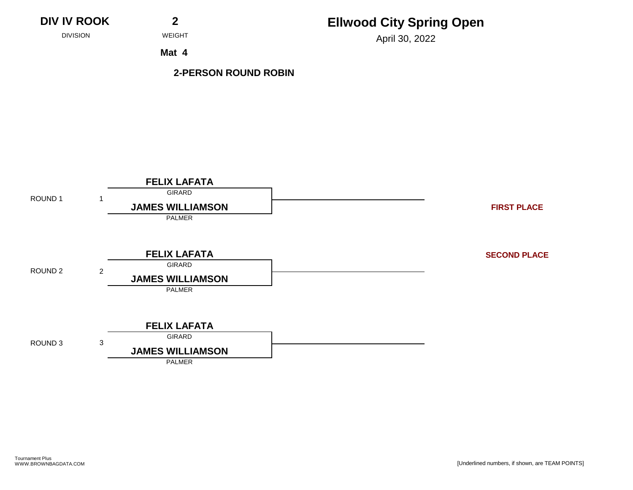**DIV IV ROOK 2**

# **Ellwood City Spring Open**

April 30, 2022 DIVISION WEIGHT

**Mat 4**

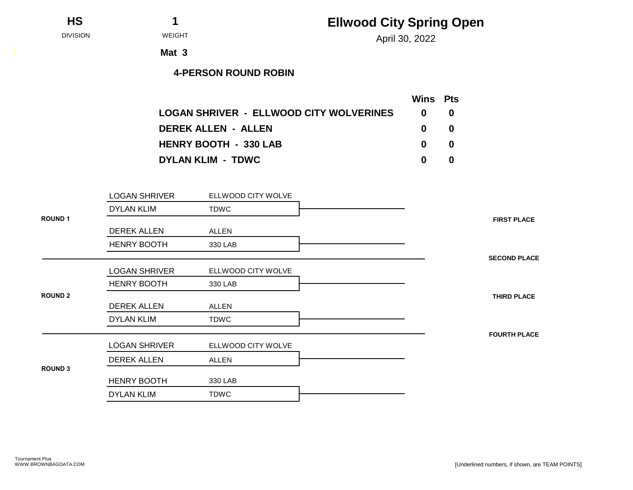**HS 1**

# **Ellwood City Spring Open**

April 30, 2022 DIVISION WEIGHT

**Mat 3**

|                                                | <b>Wins</b> Pts |    |
|------------------------------------------------|-----------------|----|
| <b>LOGAN SHRIVER - ELLWOOD CITY WOLVERINES</b> | n               |    |
| <b>DEREK ALLEN - ALLEN</b>                     | $\mathbf{0}$    | -0 |
| <b>HENRY BOOTH - 330 LAB</b>                   | $\mathbf{0}$    | -0 |
| <b>DYLAN KLIM - TDWC</b>                       | n               |    |

|                | <b>LOGAN SHRIVER</b> | ELLWOOD CITY WOLVE |
|----------------|----------------------|--------------------|
|                | <b>DYLAN KLIM</b>    | <b>TDWC</b>        |
| <b>ROUND 1</b> | <b>DEREK ALLEN</b>   | <b>ALLEN</b>       |
|                | <b>HENRY BOOTH</b>   | 330 LAB            |
|                |                      |                    |
|                | <b>LOGAN SHRIVER</b> | ELLWOOD CITY WOLVE |
|                | <b>HENRY BOOTH</b>   | 330 LAB            |
| <b>ROUND 2</b> | <b>DEREK ALLEN</b>   | <b>ALLEN</b>       |
|                | <b>DYLAN KLIM</b>    | <b>TDWC</b>        |
|                |                      |                    |
|                | <b>LOGAN SHRIVER</b> | ELLWOOD CITY WOLVE |
|                | <b>DEREK ALLEN</b>   | <b>ALLEN</b>       |
| <b>ROUND 3</b> | <b>HENRY BOOTH</b>   | 330 LAB            |
|                | <b>DYLAN KLIM</b>    | TDWC               |
|                |                      |                    |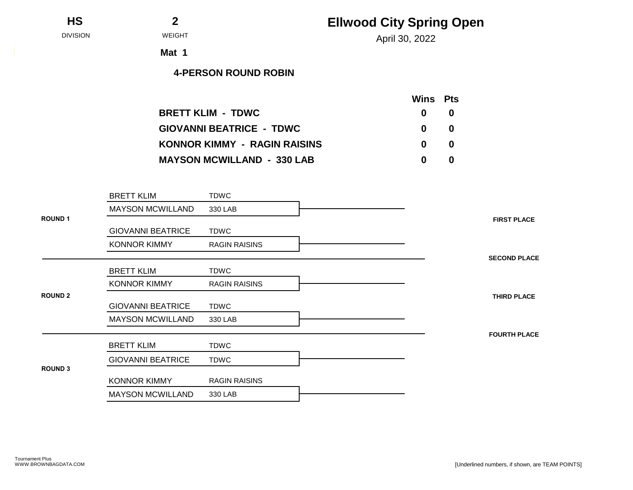| <b>HS</b> |  |
|-----------|--|
|           |  |

April 30, 2022 DIVISION WEIGHT

**Mat 1**

|                                     | <b>Wins</b> Pts |    |
|-------------------------------------|-----------------|----|
| <b>BRETT KLIM - TDWC</b>            | $\mathbf{0}$    | -0 |
| <b>GIOVANNI BEATRICE - TDWC</b>     | $\mathbf{0}$    | -0 |
| <b>KONNOR KIMMY - RAGIN RAISINS</b> | $\mathbf{0}$    | -0 |
| <b>MAYSON MCWILLAND - 330 LAB</b>   | 0               | 0  |

|                | <b>BRETT KLIM</b>        | <b>TDWC</b>          |
|----------------|--------------------------|----------------------|
|                | <b>MAYSON MCWILLAND</b>  | 330 LAB              |
| <b>ROUND1</b>  |                          |                      |
|                | <b>GIOVANNI BEATRICE</b> | <b>TDWC</b>          |
|                | <b>KONNOR KIMMY</b>      | <b>RAGIN RAISINS</b> |
|                |                          |                      |
|                | <b>BRETT KLIM</b>        | <b>TDWC</b>          |
|                | <b>KONNOR KIMMY</b>      | <b>RAGIN RAISINS</b> |
| <b>ROUND 2</b> |                          |                      |
|                | <b>GIOVANNI BEATRICE</b> | <b>TDWC</b>          |
|                | <b>MAYSON MCWILLAND</b>  | 330 LAB              |
|                |                          |                      |
|                | <b>BRETT KLIM</b>        | <b>TDWC</b>          |
|                | <b>GIOVANNI BEATRICE</b> | <b>TDWC</b>          |
| <b>ROUND 3</b> |                          |                      |
|                | <b>KONNOR KIMMY</b>      | <b>RAGIN RAISINS</b> |
|                | <b>MAYSON MCWILLAND</b>  | 330 LAB              |
|                |                          |                      |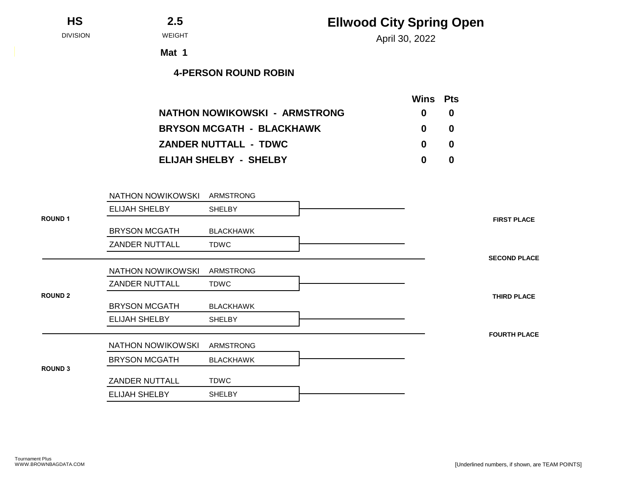### **HS 2.5**

April 30, 2022 DIVISION WEIGHT

**Mat 1**

|                                  | <b>Wins</b> Pts |   |
|----------------------------------|-----------------|---|
| NATHON NOWIKOWSKI - ARMSTRONG    | $\mathbf{0}$    | 0 |
| <b>BRYSON MCGATH - BLACKHAWK</b> | $\mathbf{0}$    | 0 |
| <b>ZANDER NUTTALL - TDWC</b>     | $\mathbf{0}$    | 0 |
| <b>ELIJAH SHELBY - SHELBY</b>    | 0               | 0 |

|                | NATHON NOWIKOWSKI     | <b>ARMSTRONG</b> |                     |
|----------------|-----------------------|------------------|---------------------|
|                | <b>ELIJAH SHELBY</b>  | <b>SHELBY</b>    |                     |
| <b>ROUND1</b>  |                       |                  | <b>FIRST PLACE</b>  |
|                | <b>BRYSON MCGATH</b>  | <b>BLACKHAWK</b> |                     |
|                | <b>ZANDER NUTTALL</b> | <b>TDWC</b>      |                     |
|                |                       |                  | <b>SECOND PLACE</b> |
|                | NATHON NOWIKOWSKI     | ARMSTRONG        |                     |
|                | <b>ZANDER NUTTALL</b> | <b>TDWC</b>      |                     |
| <b>ROUND 2</b> |                       |                  | <b>THIRD PLACE</b>  |
|                | <b>BRYSON MCGATH</b>  | <b>BLACKHAWK</b> |                     |
|                | <b>ELIJAH SHELBY</b>  | <b>SHELBY</b>    |                     |
|                |                       |                  | <b>FOURTH PLACE</b> |
|                | NATHON NOWIKOWSKI     | ARMSTRONG        |                     |
|                | <b>BRYSON MCGATH</b>  | <b>BLACKHAWK</b> |                     |
| <b>ROUND 3</b> |                       |                  |                     |
|                | <b>ZANDER NUTTALL</b> | <b>TDWC</b>      |                     |
|                | <b>ELIJAH SHELBY</b>  | <b>SHELBY</b>    |                     |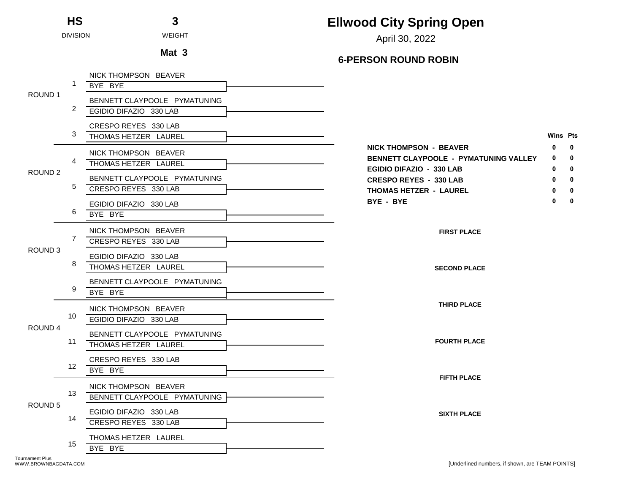April 30, 2022 DIVISION WEIGHT

# Mat 3 6-PERSON ROUND ROBIN

|                    |                 | NICK THOMPSON BEAVER<br>BYE BYE                      |                                                                                                           |                 |                                             |
|--------------------|-----------------|------------------------------------------------------|-----------------------------------------------------------------------------------------------------------|-----------------|---------------------------------------------|
| ROUND <sub>1</sub> |                 | BENNETT CLAYPOOLE PYMATUNING                         |                                                                                                           |                 |                                             |
|                    | 2               | EGIDIO DIFAZIO 330 LAB                               |                                                                                                           |                 |                                             |
|                    | 3               | CRESPO REYES 330 LAB<br>THOMAS HETZER LAUREL         |                                                                                                           | <b>Wins Pts</b> |                                             |
|                    | 4               | NICK THOMPSON BEAVER<br>THOMAS HETZER LAUREL         | <b>NICK THOMPSON - BEAVER</b><br><b>BENNETT CLAYPOOLE - PYMATUNING VALLEY</b><br>EGIDIO DIFAZIO - 330 LAB | 0<br>0<br>0     | $\mathbf 0$<br>$\mathbf{0}$<br>$\mathbf{0}$ |
| ROUND <sub>2</sub> | 5               | BENNETT CLAYPOOLE PYMATUNING<br>CRESPO REYES 330 LAB | <b>CRESPO REYES - 330 LAB</b><br><b>THOMAS HETZER - LAUREL</b><br>BYE - BYE                               | 0<br>0          | 0<br>0<br>0                                 |
|                    | 6               | EGIDIO DIFAZIO 330 LAB<br>BYE BYE                    |                                                                                                           |                 |                                             |
| ROUND <sub>3</sub> | 7               | NICK THOMPSON BEAVER<br>CRESPO REYES 330 LAB         | <b>FIRST PLACE</b>                                                                                        |                 |                                             |
|                    | 8               | EGIDIO DIFAZIO 330 LAB<br>THOMAS HETZER LAUREL       | <b>SECOND PLACE</b>                                                                                       |                 |                                             |
|                    | 9               | BENNETT CLAYPOOLE PYMATUNING<br>BYE BYE              |                                                                                                           |                 |                                             |
|                    | 10              | NICK THOMPSON BEAVER<br>EGIDIO DIFAZIO 330 LAB       | <b>THIRD PLACE</b>                                                                                        |                 |                                             |
| ROUND 4            | 11              | BENNETT CLAYPOOLE PYMATUNING<br>THOMAS HETZER LAUREL | <b>FOURTH PLACE</b>                                                                                       |                 |                                             |
|                    | 12 <sup>1</sup> | CRESPO REYES 330 LAB<br>BYE BYE                      | <b>FIFTH PLACE</b>                                                                                        |                 |                                             |
| ROUND <sub>5</sub> | 13              | NICK THOMPSON BEAVER<br>BENNETT CLAYPOOLE PYMATUNING |                                                                                                           |                 |                                             |
|                    | 14              | EGIDIO DIFAZIO 330 LAB<br>CRESPO REYES 330 LAB       | <b>SIXTH PLACE</b>                                                                                        |                 |                                             |
|                    | 15              | THOMAS HETZER LAUREL<br>BYE BYE                      |                                                                                                           |                 |                                             |

**HS 3**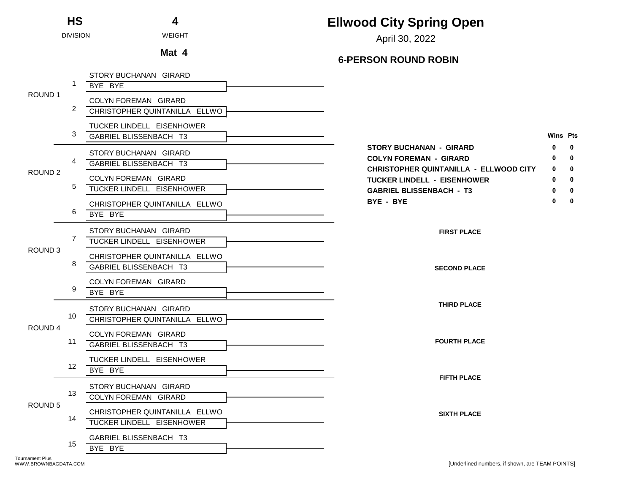| <b>HS</b>          |                 | 4                                                          | <b>Ellwood City Spring Open</b>                                                                                                  |             |
|--------------------|-----------------|------------------------------------------------------------|----------------------------------------------------------------------------------------------------------------------------------|-------------|
|                    | <b>DIVISION</b> | <b>WEIGHT</b>                                              | April 30, 2022                                                                                                                   |             |
|                    |                 | Mat 4                                                      | <b>6-PERSON ROUND ROBIN</b>                                                                                                      |             |
|                    |                 | STORY BUCHANAN GIRARD<br>BYE BYE                           |                                                                                                                                  |             |
| ROUND 1            | 2               | COLYN FOREMAN GIRARD<br>CHRISTOPHER QUINTANILLA ELLWO      |                                                                                                                                  |             |
|                    | 3               | TUCKER LINDELL EISENHOWER<br>GABRIEL BLISSENBACH T3        | <b>Wins Pts</b>                                                                                                                  |             |
|                    |                 | STORY BUCHANAN GIRARD<br>GABRIEL BLISSENBACH T3            | <b>STORY BUCHANAN - GIRARD</b><br>o<br><b>COLYN FOREMAN - GIRARD</b>                                                             | 0<br>0      |
| ROUND <sub>2</sub> | 5               | COLYN FOREMAN GIRARD<br>TUCKER LINDELL EISENHOWER          | <b>CHRISTOPHER QUINTANILLA - ELLWOOD CITY</b><br>0<br><b>TUCKER LINDELL - EISENHOWER</b><br>0<br><b>GABRIEL BLISSENBACH - T3</b> | 0<br>0<br>0 |
|                    | 6               | CHRISTOPHER QUINTANILLA ELLWO<br>BYE BYE                   | BYE - BYE<br>0                                                                                                                   | 0           |
|                    | 7               | STORY BUCHANAN GIRARD<br>TUCKER LINDELL EISENHOWER         | <b>FIRST PLACE</b>                                                                                                               |             |
| ROUND <sub>3</sub> | 8               | CHRISTOPHER QUINTANILLA ELLWO<br>GABRIEL BLISSENBACH T3    | <b>SECOND PLACE</b>                                                                                                              |             |
|                    | 9               | COLYN FOREMAN GIRARD<br>BYE BYE                            |                                                                                                                                  |             |
| ROUND 4            | 10              | STORY BUCHANAN GIRARD<br>CHRISTOPHER QUINTANILLA ELLWO     | <b>THIRD PLACE</b>                                                                                                               |             |
|                    | 11              | COLYN FOREMAN GIRARD<br><b>GABRIEL BLISSENBACH T3</b>      | <b>FOURTH PLACE</b>                                                                                                              |             |
|                    | 12 <sup>2</sup> | TUCKER LINDELL EISENHOWER<br>BYE BYE                       | <b>FIFTH PLACE</b>                                                                                                               |             |
| ROUND 5            | 13              | STORY BUCHANAN GIRARD<br>COLYN FOREMAN GIRARD              |                                                                                                                                  |             |
|                    | 14              | CHRISTOPHER QUINTANILLA ELLWO<br>TUCKER LINDELL EISENHOWER | <b>SIXTH PLACE</b>                                                                                                               |             |
|                    | 15              | GABRIEL BLISSENBACH T3<br>BYE BYE                          |                                                                                                                                  |             |

Tournament Plus<br>WWW.BROWNBAGDATA.COM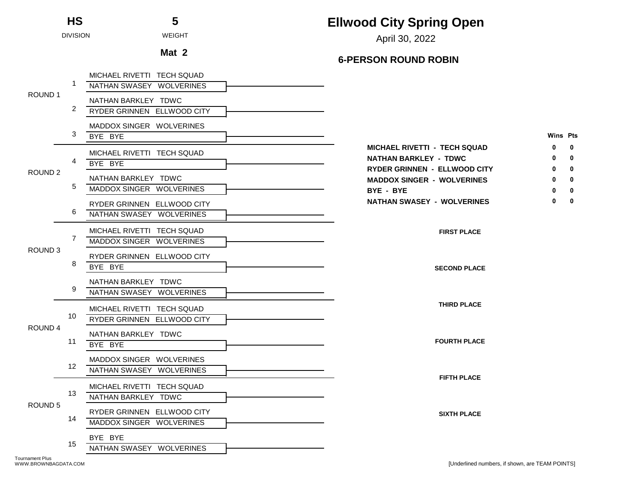|                    | <b>HS</b>       | 5                                                        | <b>Ellwood City Spring Open</b>                                                                               |             |
|--------------------|-----------------|----------------------------------------------------------|---------------------------------------------------------------------------------------------------------------|-------------|
|                    | <b>DIVISION</b> | <b>WEIGHT</b>                                            | April 30, 2022                                                                                                |             |
|                    |                 | Mat 2                                                    | <b>6-PERSON ROUND ROBIN</b>                                                                                   |             |
|                    | $\mathbf{1}$    | MICHAEL RIVETTI TECH SQUAD<br>NATHAN SWASEY WOLVERINES   |                                                                                                               |             |
| ROUND 1            | 2               | NATHAN BARKLEY TDWC<br>RYDER GRINNEN ELLWOOD CITY        |                                                                                                               |             |
|                    | 3               | MADDOX SINGER WOLVERINES<br>BYE BYE                      | <b>Wins Pts</b>                                                                                               |             |
|                    | 4               | MICHAEL RIVETTI TECH SQUAD<br>BYE BYE                    | <b>MICHAEL RIVETTI - TECH SQUAD</b><br>0<br><b>NATHAN BARKLEY - TDWC</b><br>0<br>RYDER GRINNEN - ELLWOOD CITY | 0<br>0<br>0 |
| ROUND <sub>2</sub> | 5               | NATHAN BARKLEY TDWC<br>MADDOX SINGER WOLVERINES          | <b>MADDOX SINGER - WOLVERINES</b><br>BYE - BYE                                                                | 0<br>0      |
|                    | 6               | RYDER GRINNEN ELLWOOD CITY<br>NATHAN SWASEY WOLVERINES   | <b>NATHAN SWASEY - WOLVERINES</b><br>ŋ                                                                        | 0           |
| ROUND <sub>3</sub> | 7               | MICHAEL RIVETTI TECH SQUAD<br>MADDOX SINGER WOLVERINES   | <b>FIRST PLACE</b>                                                                                            |             |
|                    | 8               | RYDER GRINNEN ELLWOOD CITY<br>BYE BYE                    | <b>SECOND PLACE</b>                                                                                           |             |
|                    | 9               | NATHAN BARKLEY TDWC<br>NATHAN SWASEY WOLVERINES          |                                                                                                               |             |
| ROUND 4            | 10              | MICHAEL RIVETTI TECH SQUAD<br>RYDER GRINNEN ELLWOOD CITY | <b>THIRD PLACE</b>                                                                                            |             |
|                    | 11              | NATHAN BARKLEY TDWC<br>BYE BYE                           | <b>FOURTH PLACE</b>                                                                                           |             |
|                    | 12              | MADDOX SINGER WOLVERINES<br>NATHAN SWASEY WOLVERINES     | <b>FIFTH PLACE</b>                                                                                            |             |
| ROUND <sub>5</sub> | 13              | MICHAEL RIVETTI TECH SQUAD<br>NATHAN BARKLEY TDWC        |                                                                                                               |             |
|                    | 14              | RYDER GRINNEN ELLWOOD CITY<br>MADDOX SINGER WOLVERINES   | <b>SIXTH PLACE</b>                                                                                            |             |
|                    | 15              | BYE BYE<br>NATHAN SWASEY WOLVERINES                      |                                                                                                               |             |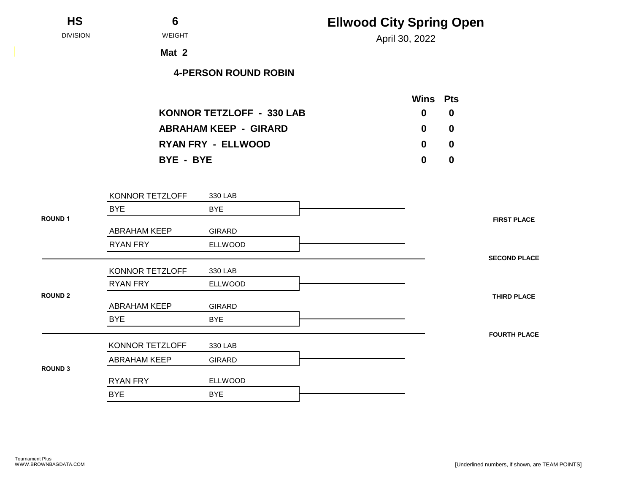| HS |  |
|----|--|
|    |  |

April 30, 2022 DIVISION WEIGHT

**Mat 2**

|                                  | Wins Pts     |     |
|----------------------------------|--------------|-----|
| <b>KONNOR TETZLOFF - 330 LAB</b> | $\mathbf{0}$ | -0  |
| <b>ABRAHAM KEEP - GIRARD</b>     | $\mathbf{0}$ | -0  |
| <b>RYAN FRY - ELLWOOD</b>        | $\mathbf{0}$ | - 0 |
| BYE - BYE                        | 0            | -0  |

|                | KONNOR TETZLOFF     | 330 LAB        |                     |  |
|----------------|---------------------|----------------|---------------------|--|
|                | <b>BYE</b>          | <b>BYE</b>     |                     |  |
| <b>ROUND1</b>  |                     |                | <b>FIRST PLACE</b>  |  |
|                | <b>ABRAHAM KEEP</b> | <b>GIRARD</b>  |                     |  |
|                | <b>RYAN FRY</b>     | <b>ELLWOOD</b> |                     |  |
|                |                     |                | <b>SECOND PLACE</b> |  |
|                | KONNOR TETZLOFF     | 330 LAB        |                     |  |
|                | <b>RYAN FRY</b>     | <b>ELLWOOD</b> |                     |  |
| <b>ROUND 2</b> |                     |                | <b>THIRD PLACE</b>  |  |
|                | <b>ABRAHAM KEEP</b> | <b>GIRARD</b>  |                     |  |
|                | <b>BYE</b>          | <b>BYE</b>     |                     |  |
|                |                     |                | <b>FOURTH PLACE</b> |  |
|                | KONNOR TETZLOFF     | 330 LAB        |                     |  |
|                | <b>ABRAHAM KEEP</b> | <b>GIRARD</b>  |                     |  |
| <b>ROUND 3</b> |                     |                |                     |  |
|                | <b>RYAN FRY</b>     | <b>ELLWOOD</b> |                     |  |
|                | <b>BYE</b>          | <b>BYE</b>     |                     |  |
|                |                     |                |                     |  |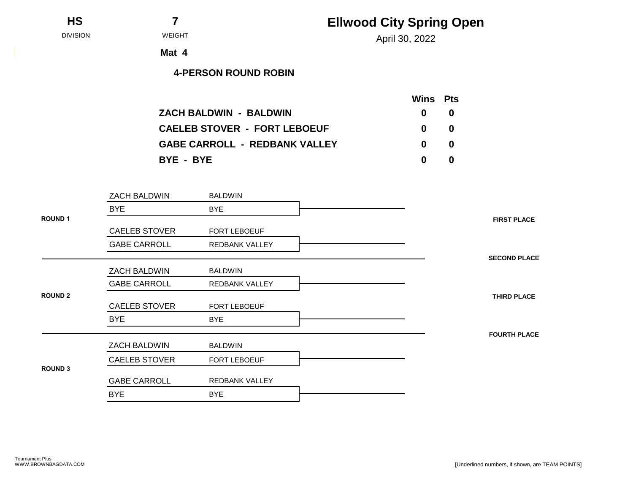| <b>HS</b> |
|-----------|
|           |

April 30, 2022 DIVISION WEIGHT

**Mat 4**

|                                      |              | <b>Wins</b> Pts |
|--------------------------------------|--------------|-----------------|
| <b>ZACH BALDWIN - BALDWIN</b>        | $\mathbf{0}$ | -0              |
| <b>CAELEB STOVER - FORT LEBOEUF</b>  | $\mathbf{0}$ | 0               |
| <b>GABE CARROLL - REDBANK VALLEY</b> | $\mathbf{0}$ | - 0             |
| BYE - BYE                            | $\mathbf{0}$ | 0               |

| ZACH BALDWIN         | <b>BALDWIN</b>      |
|----------------------|---------------------|
| <b>BYE</b>           | <b>BYE</b>          |
|                      |                     |
| <b>CAELEB STOVER</b> | FORT LEBOEUF        |
| <b>GABE CARROLL</b>  | REDBANK VALLEY      |
|                      |                     |
| ZACH BALDWIN         | <b>BALDWIN</b>      |
| <b>GABE CARROLL</b>  | REDBANK VALLEY      |
|                      |                     |
| <b>CAELEB STOVER</b> | <b>FORT LEBOEUF</b> |
| <b>BYE</b>           | <b>BYE</b>          |
|                      |                     |
| ZACH BALDWIN         | <b>BALDWIN</b>      |
| <b>CAELEB STOVER</b> | FORT LEBOEUF        |
|                      |                     |
| <b>GABE CARROLL</b>  | REDBANK VALLEY      |
| <b>BYE</b>           | <b>BYE</b>          |
|                      |                     |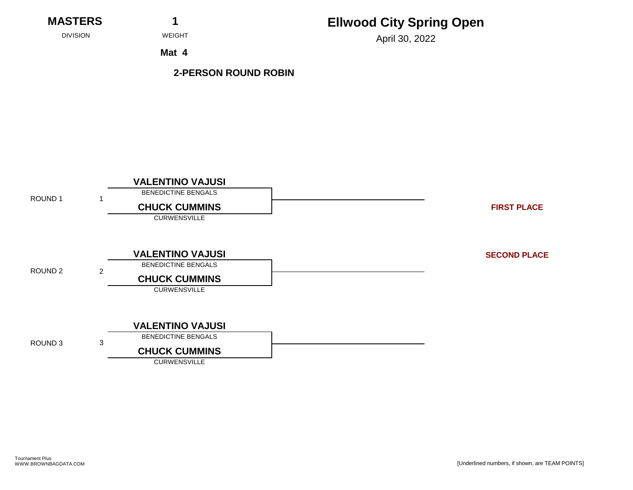**MASTERS 1**

## **Ellwood City Spring Open**

April 30, 2022 DIVISION WEIGHT

**Mat 4**

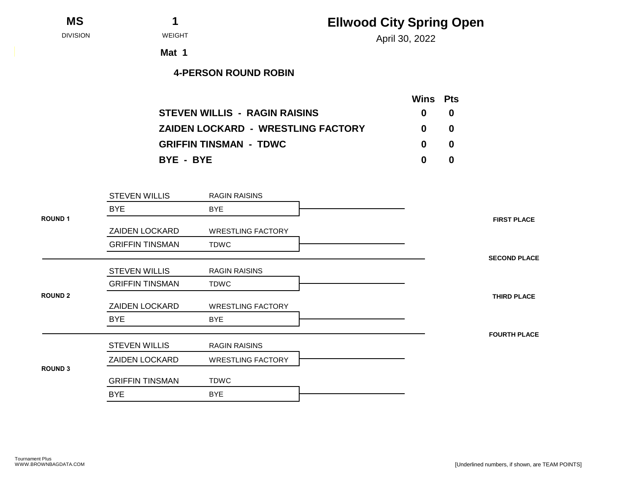**MS 1**

# **Ellwood City Spring Open**

April 30, 2022 DIVISION WEIGHT

**Mat 1**

|                                           | Wins Pts     |    |
|-------------------------------------------|--------------|----|
| <b>STEVEN WILLIS - RAGIN RAISINS</b>      | $\mathbf{0}$ | -0 |
| <b>ZAIDEN LOCKARD - WRESTLING FACTORY</b> | $\mathbf{0}$ | -0 |
| <b>GRIFFIN TINSMAN - TDWC</b>             | $\mathbf{0}$ | -0 |
| BYE - BYE                                 | n.           | 0  |

|                | <b>STEVEN WILLIS</b>   | <b>RAGIN RAISINS</b>     |
|----------------|------------------------|--------------------------|
|                | <b>BYE</b>             | <b>BYE</b>               |
| <b>ROUND 1</b> |                        |                          |
|                | <b>ZAIDEN LOCKARD</b>  | <b>WRESTLING FACTORY</b> |
|                | <b>GRIFFIN TINSMAN</b> | TDWC                     |
|                |                        |                          |
|                | <b>STEVEN WILLIS</b>   | <b>RAGIN RAISINS</b>     |
|                | <b>GRIFFIN TINSMAN</b> | <b>TDWC</b>              |
| <b>ROUND 2</b> |                        |                          |
|                | ZAIDEN LOCKARD         | <b>WRESTLING FACTORY</b> |
|                | <b>BYE</b>             | <b>BYE</b>               |
|                |                        |                          |
|                | <b>STEVEN WILLIS</b>   | <b>RAGIN RAISINS</b>     |
|                | <b>ZAIDEN LOCKARD</b>  | <b>WRESTLING FACTORY</b> |
| <b>ROUND 3</b> |                        |                          |
|                | <b>GRIFFIN TINSMAN</b> | TDWC                     |
|                | <b>BYE</b>             | <b>BYE</b>               |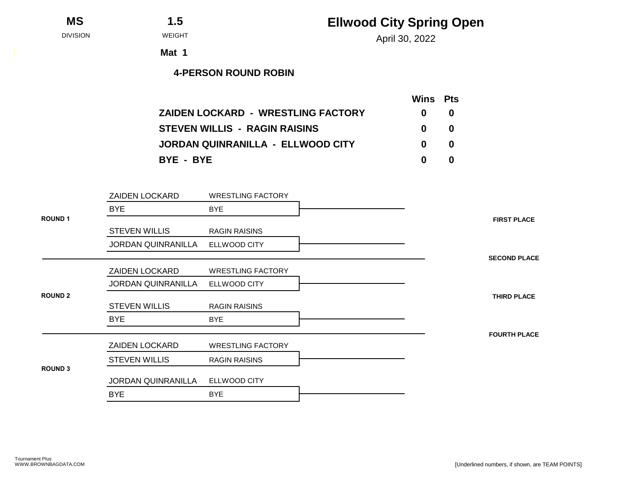**MS 1.5**

April 30, 2022 DIVISION WEIGHT

**Mat 1**

|                                           | <b>Wins</b> Pts |   |
|-------------------------------------------|-----------------|---|
| <b>ZAIDEN LOCKARD - WRESTLING FACTORY</b> | 0               | 0 |
| <b>STEVEN WILLIS - RAGIN RAISINS</b>      | 0               | 0 |
| JORDAN QUINRANILLA - ELLWOOD CITY         | 0               | 0 |
| BYE - BYE                                 | 0               | 0 |

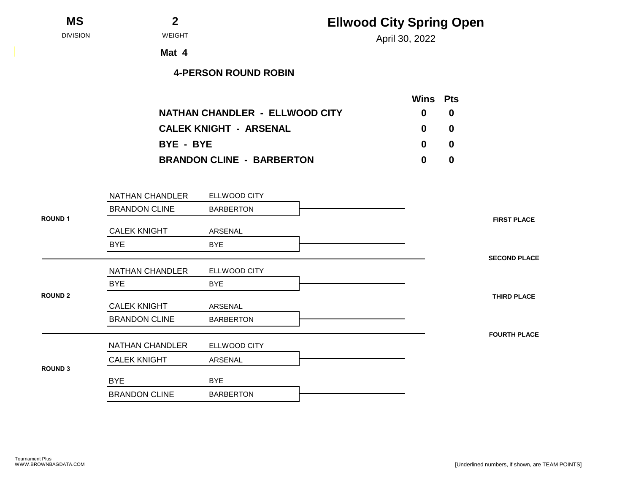| <b>MS</b><br>- |  |
|----------------|--|
|----------------|--|

April 30, 2022 DIVISION WEIGHT

**Mat 4**

|                                  | <b>Wins</b> Pts |   |
|----------------------------------|-----------------|---|
| NATHAN CHANDLER - ELLWOOD CITY   | 0               | 0 |
| <b>CALEK KNIGHT - ARSENAL</b>    | 0               | 0 |
| BYE - BYE                        | $\mathbf{0}$    | 0 |
| <b>BRANDON CLINE - BARBERTON</b> | 0               | 0 |

|                | NATHAN CHANDLER      | ELLWOOD CITY     |                     |
|----------------|----------------------|------------------|---------------------|
|                | <b>BRANDON CLINE</b> | <b>BARBERTON</b> |                     |
| <b>ROUND1</b>  |                      |                  | <b>FIRST PLACE</b>  |
|                | <b>CALEK KNIGHT</b>  | ARSENAL          |                     |
|                | <b>BYE</b>           | <b>BYE</b>       |                     |
|                |                      |                  | <b>SECOND PLACE</b> |
|                | NATHAN CHANDLER      | ELLWOOD CITY     |                     |
|                | <b>BYE</b>           | <b>BYE</b>       |                     |
| <b>ROUND 2</b> |                      |                  | <b>THIRD PLACE</b>  |
|                | <b>CALEK KNIGHT</b>  | ARSENAL          |                     |
|                | <b>BRANDON CLINE</b> | <b>BARBERTON</b> |                     |
|                |                      |                  | <b>FOURTH PLACE</b> |
|                | NATHAN CHANDLER      | ELLWOOD CITY     |                     |
|                | <b>CALEK KNIGHT</b>  | ARSENAL          |                     |
| <b>ROUND 3</b> |                      |                  |                     |
|                | <b>BYE</b>           | <b>BYE</b>       |                     |
|                | <b>BRANDON CLINE</b> | <b>BARBERTON</b> |                     |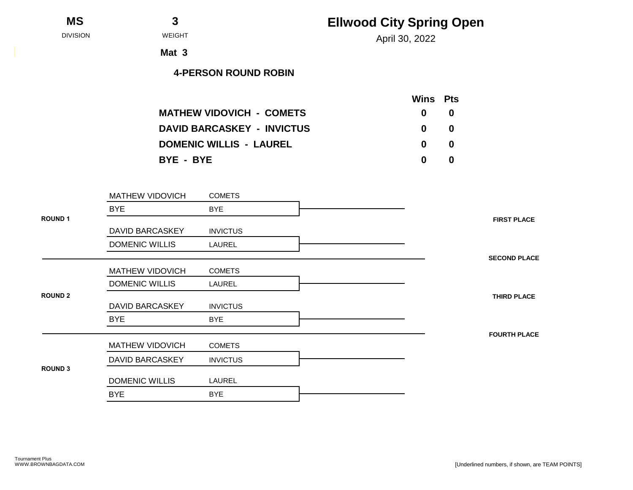| MS |  |
|----|--|
|    |  |

April 30, 2022 DIVISION WEIGHT

**Mat 3**

|                                   | <b>Wins</b> Pts |    |
|-----------------------------------|-----------------|----|
| <b>MATHEW VIDOVICH - COMETS</b>   | $\mathbf{0}$    | -0 |
| <b>DAVID BARCASKEY - INVICTUS</b> | $\mathbf{0}$    | -0 |
| <b>DOMENIC WILLIS - LAUREL</b>    | $\mathbf{0}$    | -0 |
| BYE - BYE                         | n.              | 0  |

|                | MATHEW VIDOVICH        | <b>COMETS</b>   |                     |
|----------------|------------------------|-----------------|---------------------|
|                | <b>BYE</b>             | <b>BYE</b>      |                     |
| <b>ROUND1</b>  |                        |                 | <b>FIRST PLACE</b>  |
|                | <b>DAVID BARCASKEY</b> | <b>INVICTUS</b> |                     |
|                | <b>DOMENIC WILLIS</b>  | LAUREL          |                     |
|                |                        |                 | <b>SECOND PLACE</b> |
|                | <b>MATHEW VIDOVICH</b> | <b>COMETS</b>   |                     |
|                | <b>DOMENIC WILLIS</b>  | LAUREL          |                     |
| <b>ROUND 2</b> |                        |                 | <b>THIRD PLACE</b>  |
|                | <b>DAVID BARCASKEY</b> | <b>INVICTUS</b> |                     |
|                | <b>BYE</b>             | <b>BYE</b>      |                     |
|                |                        |                 | <b>FOURTH PLACE</b> |
|                | <b>MATHEW VIDOVICH</b> | <b>COMETS</b>   |                     |
|                | <b>DAVID BARCASKEY</b> | <b>INVICTUS</b> |                     |
| <b>ROUND 3</b> |                        |                 |                     |
|                | <b>DOMENIC WILLIS</b>  | LAUREL          |                     |
|                | <b>BYE</b>             | <b>BYE</b>      |                     |
|                |                        |                 |                     |